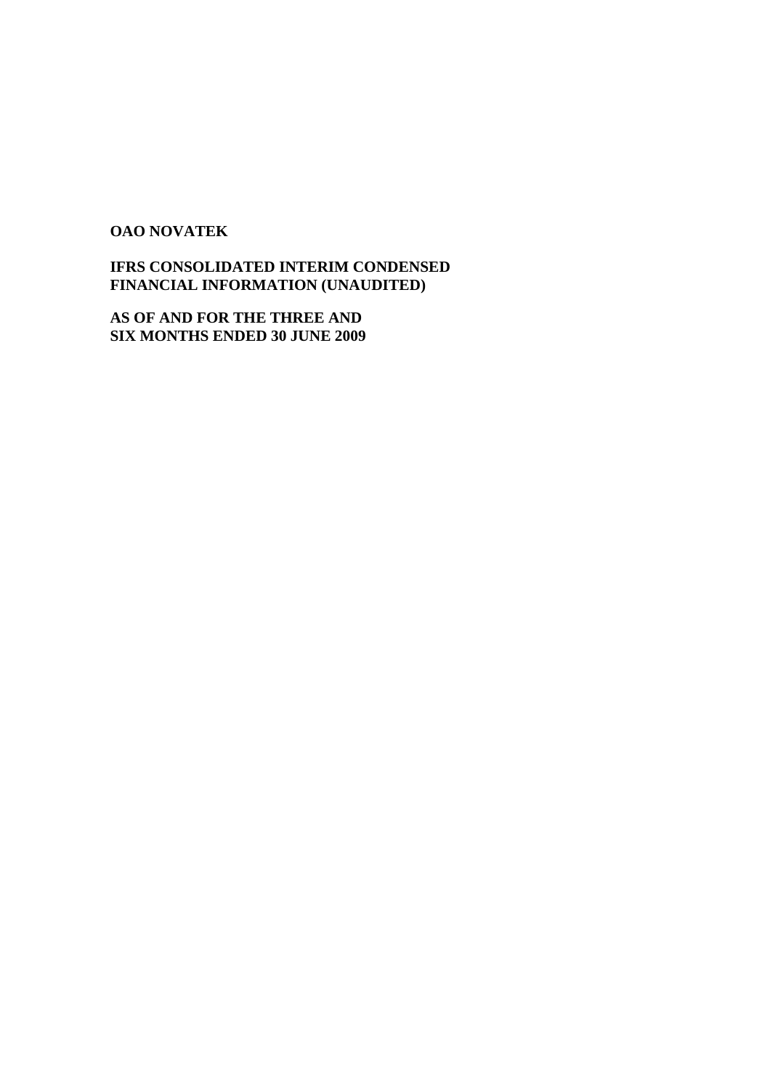# **OAO NOVATEK**

**IFRS CONSOLIDATED INTERIM CONDENSED FINANCIAL INFORMATION (UNAUDITED)** 

**AS OF AND FOR THE THREE AND SIX MONTHS ENDED 30 JUNE 2009**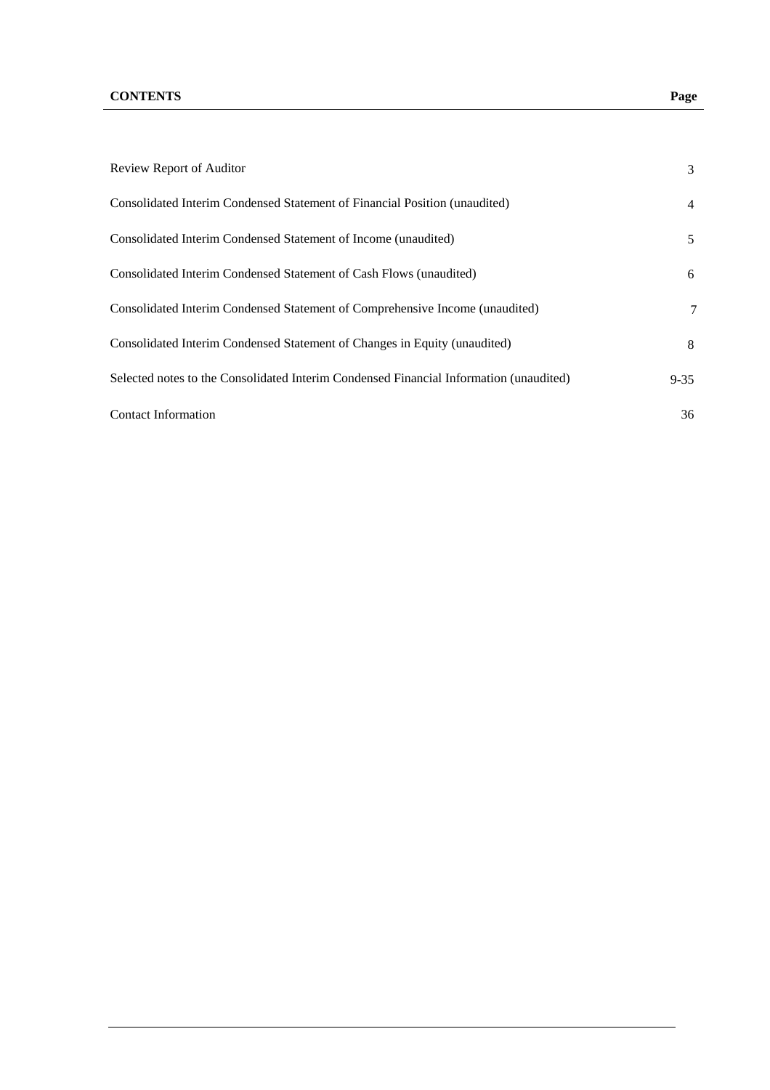| Review Report of Auditor                                                               | 3        |
|----------------------------------------------------------------------------------------|----------|
| Consolidated Interim Condensed Statement of Financial Position (unaudited)             | 4        |
| Consolidated Interim Condensed Statement of Income (unaudited)                         | 5        |
| Consolidated Interim Condensed Statement of Cash Flows (unaudited)                     | 6        |
| Consolidated Interim Condensed Statement of Comprehensive Income (unaudited)           | 7        |
| Consolidated Interim Condensed Statement of Changes in Equity (unaudited)              | 8        |
| Selected notes to the Consolidated Interim Condensed Financial Information (unaudited) | $9 - 35$ |
| <b>Contact Information</b>                                                             | 36       |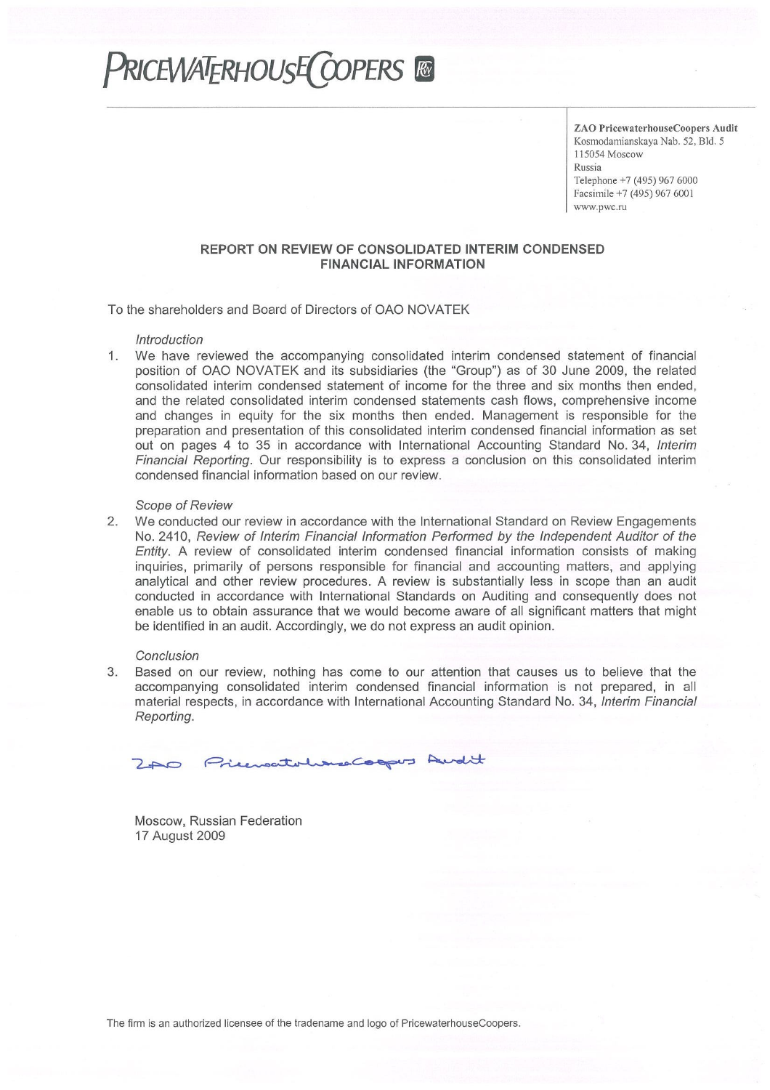# **PRICEWATERHOUSE COPERS &**

ZAO PricewaterhouseCoopers Audit Kosmodamianskaya Nab. 52, Bld. 5 115054 Moscow Russia Telephone +7 (495) 967 6000 Facsimile +7 (495) 967 6001 www.pwc.ru

#### REPORT ON REVIEW OF CONSOLIDATED INTERIM CONDENSED **FINANCIAL INFORMATION**

To the shareholders and Board of Directors of OAO NOVATEK

#### Introduction

We have reviewed the accompanying consolidated interim condensed statement of financial  $1.$ position of OAO NOVATEK and its subsidiaries (the "Group") as of 30 June 2009, the related consolidated interim condensed statement of income for the three and six months then ended, and the related consolidated interim condensed statements cash flows, comprehensive income and changes in equity for the six months then ended. Management is responsible for the preparation and presentation of this consolidated interim condensed financial information as set out on pages 4 to 35 in accordance with International Accounting Standard No. 34, Interim Financial Reporting. Our responsibility is to express a conclusion on this consolidated interim condensed financial information based on our review.

#### **Scope of Review**

 $2.$ We conducted our review in accordance with the International Standard on Review Engagements No. 2410, Review of Interim Financial Information Performed by the Independent Auditor of the Entity. A review of consolidated interim condensed financial information consists of making inquiries, primarily of persons responsible for financial and accounting matters, and applying analytical and other review procedures. A review is substantially less in scope than an audit conducted in accordance with International Standards on Auditing and consequently does not enable us to obtain assurance that we would become aware of all significant matters that might be identified in an audit. Accordingly, we do not express an audit opinion.

#### Conclusion

Based on our review, nothing has come to our attention that causes us to believe that the 3. accompanying consolidated interim condensed financial information is not prepared, in all material respects, in accordance with International Accounting Standard No. 34, Interim Financial Reporting.

Priencetohans Coopus Audit  $2A0$ 

Moscow, Russian Federation 17 August 2009

The firm is an authorized licensee of the tradename and logo of PricewaterhouseCoopers.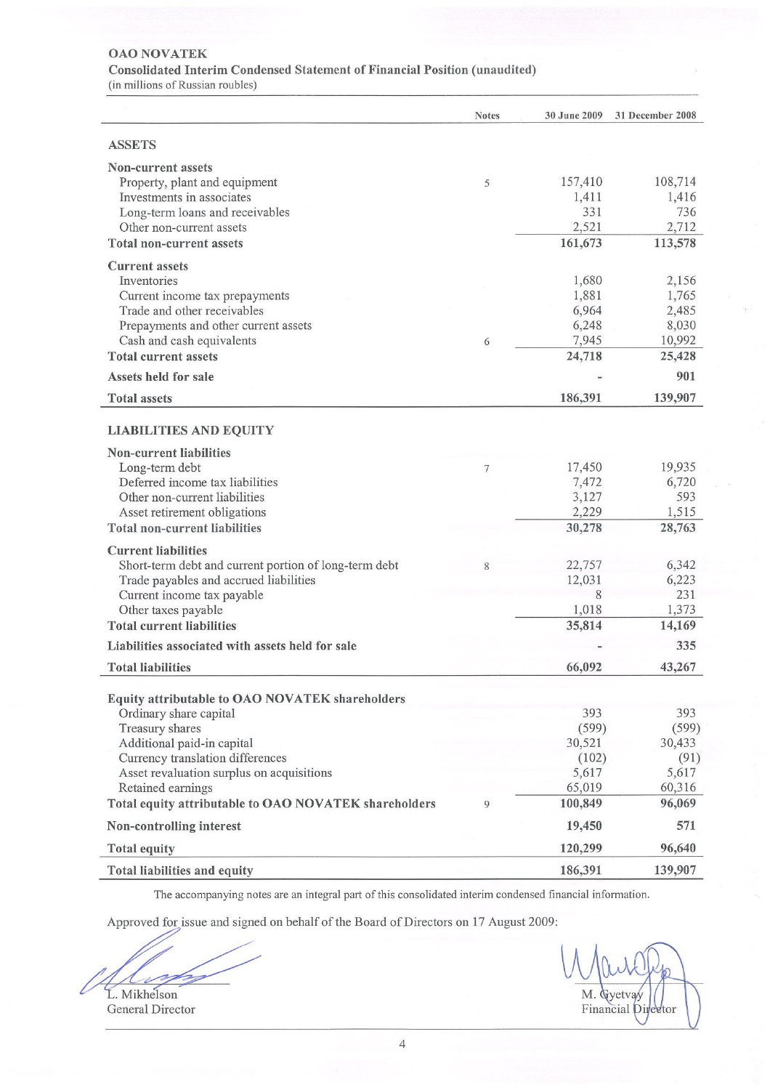#### **OAO NOVATEK**

#### Consolidated Interim Condensed Statement of Financial Position (unaudited)

(in millions of Russian roubles)

|                                                       | <b>Notes</b>   | 30 June 2009 | 31 December 2008 |
|-------------------------------------------------------|----------------|--------------|------------------|
| <b>ASSETS</b>                                         |                |              |                  |
| Non-current assets                                    |                |              |                  |
| Property, plant and equipment                         | 5              | 157,410      | 108,714          |
| Investments in associates                             |                | 1,411        | 1,416            |
| Long-term loans and receivables                       |                | 331          | 736              |
| Other non-current assets                              |                | 2,521        | 2,712            |
| <b>Total non-current assets</b>                       |                | 161,673      | 113,578          |
| <b>Current</b> assets                                 |                |              |                  |
| Inventories                                           |                | 1,680        | 2,156            |
| Current income tax prepayments                        |                | 1,881        | 1,765            |
| Trade and other receivables                           |                | 6,964        | 2,485            |
| Prepayments and other current assets                  |                | 6,248        | 8,030            |
| Cash and cash equivalents                             | 6              | 7,945        | 10,992           |
| <b>Total current assets</b>                           |                | 24,718       | 25,428           |
| Assets held for sale                                  |                |              | 901              |
| <b>Total assets</b>                                   |                | 186,391      | 139,907          |
| <b>LIABILITIES AND EQUITY</b>                         |                |              |                  |
| <b>Non-current liabilities</b>                        |                |              |                  |
| Long-term debt                                        | $\overline{7}$ | 17,450       | 19,935           |
| Deferred income tax liabilities                       |                | 7,472        | 6,720            |
| Other non-current liabilities                         |                | 3,127        | 593              |
| Asset retirement obligations                          |                | 2,229        | 1,515            |
| <b>Total non-current liabilities</b>                  |                | 30,278       | 28,763           |
| <b>Current liabilities</b>                            |                |              |                  |
| Short-term debt and current portion of long-term debt | 8              | 22,757       | 6,342            |
| Trade payables and accrued liabilities                |                | 12,031       | 6,223            |
| Current income tax payable                            |                | 8            | 231              |
| Other taxes payable                                   |                | 1,018        | 1,373            |
| <b>Total current liabilities</b>                      |                | 35,814       | 14,169           |
| Liabilities associated with assets held for sale      |                |              | 335              |
|                                                       |                |              |                  |
| <b>Total liabilities</b>                              |                | 66,092       | 43,267           |
| Equity attributable to OAO NOVATEK shareholders       |                |              |                  |
| Ordinary share capital                                |                | 393          | 393              |
| Treasury shares                                       |                | (599)        | (599)            |
| Additional paid-in capital                            |                | 30,521       | 30,433           |
| Currency translation differences                      |                | (102)        | (91)             |
| Asset revaluation surplus on acquisitions             |                | 5,617        | 5,617            |
| Retained earnings                                     |                | 65,019       | 60,316           |
| Total equity attributable to OAO NOVATEK shareholders | $\circ$        | 100,849      | 96,069           |
| Non-controlling interest                              |                | 19,450       | 571              |
| <b>Total equity</b>                                   |                | 120,299      | 96,640           |
| Total liabilities and equity                          |                | 186,391      | 139,907          |

The accompanying notes are an integral part of this consolidated interim condensed financial information.

Approved for issue and signed on behalf of the Board of Directors on 17 August 2009:

- 1

L. Mikhelson General Director

M. Gyetvay Financial Director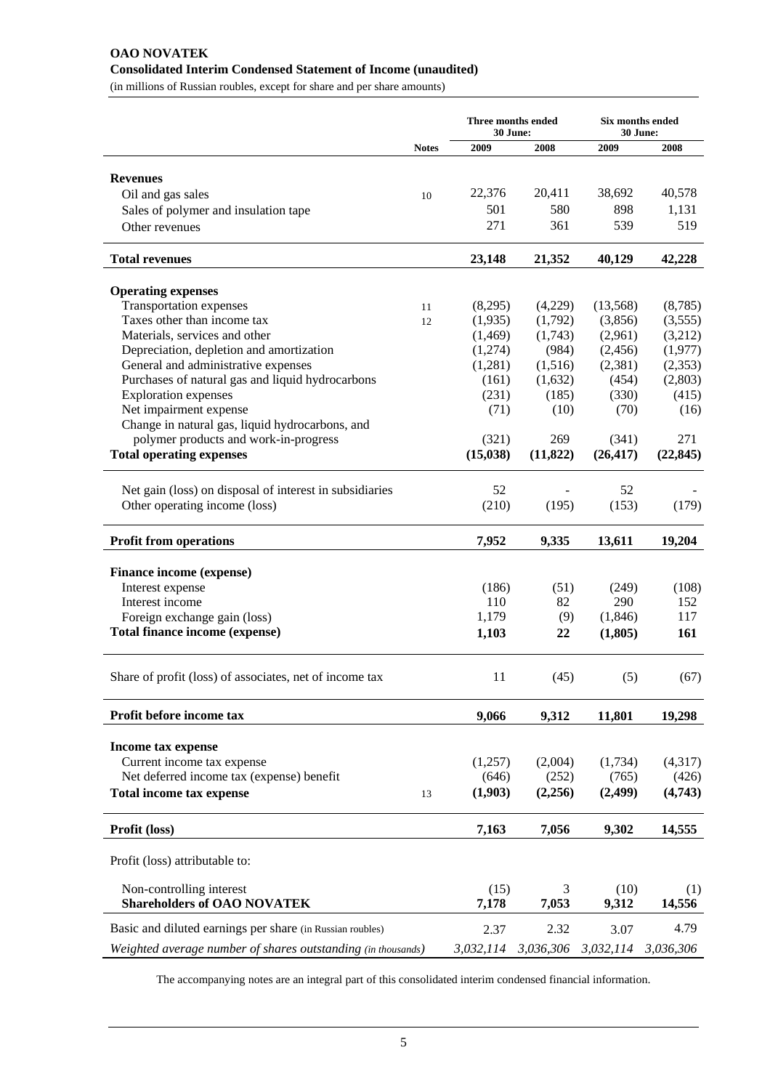# **OAO NOVATEK Consolidated Interim Condensed Statement of Income (unaudited)**

(in millions of Russian roubles, except for share and per share amounts)

|                                                              |              | Three months ended<br>30 June: |           | Six months ended<br>30 June: |           |  |
|--------------------------------------------------------------|--------------|--------------------------------|-----------|------------------------------|-----------|--|
|                                                              | <b>Notes</b> | 2009                           | 2008      | 2009                         | 2008      |  |
|                                                              |              |                                |           |                              |           |  |
| <b>Revenues</b>                                              |              |                                |           |                              |           |  |
| Oil and gas sales                                            | 10           | 22,376                         | 20,411    | 38,692                       | 40,578    |  |
| Sales of polymer and insulation tape                         |              | 501                            | 580       | 898                          | 1,131     |  |
| Other revenues                                               |              | 271                            | 361       | 539                          | 519       |  |
| <b>Total revenues</b>                                        |              | 23,148                         | 21,352    | 40,129                       | 42,228    |  |
| <b>Operating expenses</b>                                    |              |                                |           |                              |           |  |
| <b>Transportation expenses</b>                               | 11           | (8,295)                        | (4,229)   | (13,568)                     | (8,785)   |  |
| Taxes other than income tax                                  | 12           | (1,935)                        | (1,792)   | (3,856)                      | (3,555)   |  |
| Materials, services and other                                |              | (1,469)                        | (1,743)   | (2,961)                      | (3,212)   |  |
| Depreciation, depletion and amortization                     |              | (1,274)                        | (984)     | (2,456)                      | (1,977)   |  |
| General and administrative expenses                          |              | (1,281)                        | (1,516)   | (2,381)                      | (2,353)   |  |
| Purchases of natural gas and liquid hydrocarbons             |              | (161)                          | (1,632)   | (454)                        | (2,803)   |  |
| <b>Exploration</b> expenses                                  |              | (231)                          | (185)     | (330)                        | (415)     |  |
| Net impairment expense                                       |              | (71)                           | (10)      | (70)                         | (16)      |  |
| Change in natural gas, liquid hydrocarbons, and              |              |                                |           |                              |           |  |
| polymer products and work-in-progress                        |              | (321)                          | 269       | (341)                        | 271       |  |
| <b>Total operating expenses</b>                              |              | (15, 038)                      | (11, 822) | (26, 417)                    | (22, 845) |  |
| Net gain (loss) on disposal of interest in subsidiaries      |              | 52                             |           | 52                           |           |  |
| Other operating income (loss)                                |              | (210)                          | (195)     | (153)                        | (179)     |  |
|                                                              |              |                                |           |                              |           |  |
| <b>Profit from operations</b>                                |              | 7,952                          | 9,335     | 13,611                       | 19,204    |  |
| Finance income (expense)                                     |              |                                |           |                              |           |  |
| Interest expense                                             |              | (186)                          | (51)      | (249)                        | (108)     |  |
| Interest income                                              |              | 110                            | 82        | 290                          | 152       |  |
| Foreign exchange gain (loss)                                 |              | 1,179                          | (9)       | (1,846)                      | 117       |  |
| Total finance income (expense)                               |              | 1,103                          | 22        | (1,805)                      | 161       |  |
| Share of profit (loss) of associates, net of income tax      |              | 11                             | (45)      | (5)                          | (67)      |  |
|                                                              |              |                                |           |                              |           |  |
| Profit before income tax                                     |              | 9,066                          | 9,312     | 11,801                       | 19,298    |  |
| Income tax expense                                           |              |                                |           |                              |           |  |
| Current income tax expense                                   |              | (1,257)                        | (2,004)   | (1,734)                      | (4,317)   |  |
| Net deferred income tax (expense) benefit                    |              | (646)                          | (252)     | (765)                        | (426)     |  |
| <b>Total income tax expense</b>                              | 13           | (1,903)                        | (2,256)   | (2,499)                      | (4,743)   |  |
| Profit (loss)                                                |              | 7,163                          | 7,056     | 9,302                        | 14,555    |  |
| Profit (loss) attributable to:                               |              |                                |           |                              |           |  |
| Non-controlling interest                                     |              | (15)                           | 3         | (10)                         | (1)       |  |
| <b>Shareholders of OAO NOVATEK</b>                           |              | 7,178                          | 7,053     | 9,312                        | 14,556    |  |
| Basic and diluted earnings per share (in Russian roubles)    |              | 2.37                           | 2.32      | 3.07                         | 4.79      |  |
| Weighted average number of shares outstanding (in thousands) |              | 3,032,114                      | 3,036,306 | 3,032,114                    | 3,036,306 |  |

The accompanying notes are an integral part of this consolidated interim condensed financial information.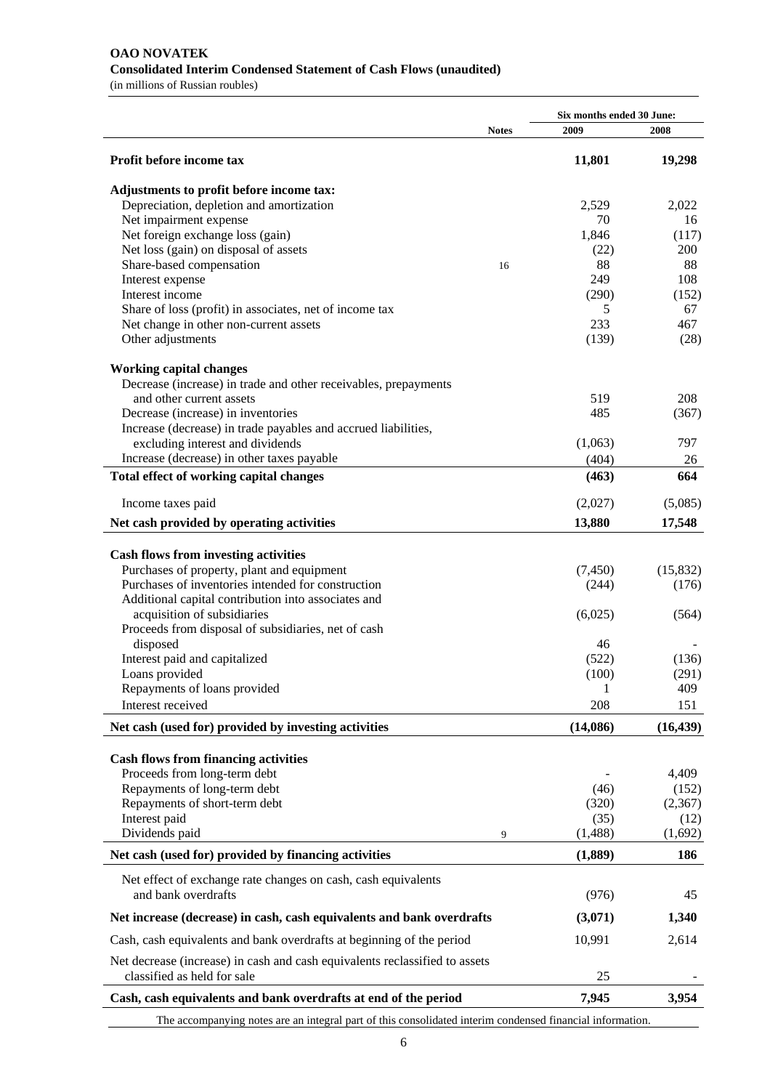# **OAO NOVATEK Consolidated Interim Condensed Statement of Cash Flows (unaudited)**

(in millions of Russian roubles)

|                                                                                                           |              | Six months ended 30 June: |           |
|-----------------------------------------------------------------------------------------------------------|--------------|---------------------------|-----------|
|                                                                                                           | <b>Notes</b> | 2009                      | 2008      |
| Profit before income tax                                                                                  |              | 11,801                    | 19,298    |
|                                                                                                           |              |                           |           |
| Adjustments to profit before income tax:                                                                  |              |                           |           |
| Depreciation, depletion and amortization                                                                  |              | 2,529                     | 2,022     |
| Net impairment expense                                                                                    |              | 70                        | 16        |
| Net foreign exchange loss (gain)                                                                          |              | 1,846                     | (117)     |
| Net loss (gain) on disposal of assets                                                                     |              | (22)                      | 200       |
| Share-based compensation                                                                                  | 16           | 88                        | 88        |
| Interest expense                                                                                          |              | 249                       | 108       |
| Interest income                                                                                           |              | (290)                     | (152)     |
| Share of loss (profit) in associates, net of income tax                                                   |              | 5                         | 67        |
| Net change in other non-current assets                                                                    |              | 233                       | 467       |
| Other adjustments                                                                                         |              | (139)                     | (28)      |
| <b>Working capital changes</b>                                                                            |              |                           |           |
| Decrease (increase) in trade and other receivables, prepayments                                           |              |                           |           |
| and other current assets                                                                                  |              | 519                       | 208       |
|                                                                                                           |              |                           |           |
| Decrease (increase) in inventories                                                                        |              | 485                       | (367)     |
| Increase (decrease) in trade payables and accrued liabilities,                                            |              |                           |           |
| excluding interest and dividends                                                                          |              | (1,063)                   | 797       |
| Increase (decrease) in other taxes payable                                                                |              | (404)                     | 26        |
| Total effect of working capital changes                                                                   |              | (463)                     | 664       |
| Income taxes paid                                                                                         |              | (2,027)                   | (5,085)   |
| Net cash provided by operating activities                                                                 |              | 13,880                    | 17,548    |
|                                                                                                           |              |                           |           |
| <b>Cash flows from investing activities</b>                                                               |              |                           |           |
| Purchases of property, plant and equipment                                                                |              | (7,450)                   | (15, 832) |
| Purchases of inventories intended for construction                                                        |              | (244)                     | (176)     |
| Additional capital contribution into associates and                                                       |              |                           |           |
| acquisition of subsidiaries                                                                               |              | (6,025)                   | (564)     |
| Proceeds from disposal of subsidiaries, net of cash                                                       |              |                           |           |
| disposed                                                                                                  |              | 46                        |           |
| Interest paid and capitalized                                                                             |              | (522)                     | (136)     |
| Loans provided                                                                                            |              | (100)                     | (291)     |
| Repayments of loans provided                                                                              |              | 1                         | 409       |
| Interest received                                                                                         |              | 208                       | 151       |
| Net cash (used for) provided by investing activities                                                      |              | (14,086)                  | (16, 439) |
|                                                                                                           |              |                           |           |
| <b>Cash flows from financing activities</b><br>Proceeds from long-term debt                               |              |                           |           |
|                                                                                                           |              |                           | 4,409     |
| Repayments of long-term debt                                                                              |              | (46)                      | (152)     |
| Repayments of short-term debt                                                                             |              | (320)                     | (2,367)   |
| Interest paid                                                                                             |              | (35)                      | (12)      |
| Dividends paid                                                                                            | 9            | (1,488)                   | (1,692)   |
| Net cash (used for) provided by financing activities                                                      |              | (1,889)                   | 186       |
| Net effect of exchange rate changes on cash, cash equivalents                                             |              |                           |           |
| and bank overdrafts                                                                                       |              | (976)                     | 45        |
| Net increase (decrease) in cash, cash equivalents and bank overdrafts                                     |              | (3,071)                   | 1,340     |
| Cash, cash equivalents and bank overdrafts at beginning of the period                                     |              | 10,991                    | 2,614     |
| Net decrease (increase) in cash and cash equivalents reclassified to assets                               |              |                           |           |
| classified as held for sale                                                                               |              | 25                        |           |
| Cash, cash equivalents and bank overdrafts at end of the period                                           |              | 7,945                     | 3,954     |
| The accompanying notes are an integral part of this consolidated interim condensed financial information. |              |                           |           |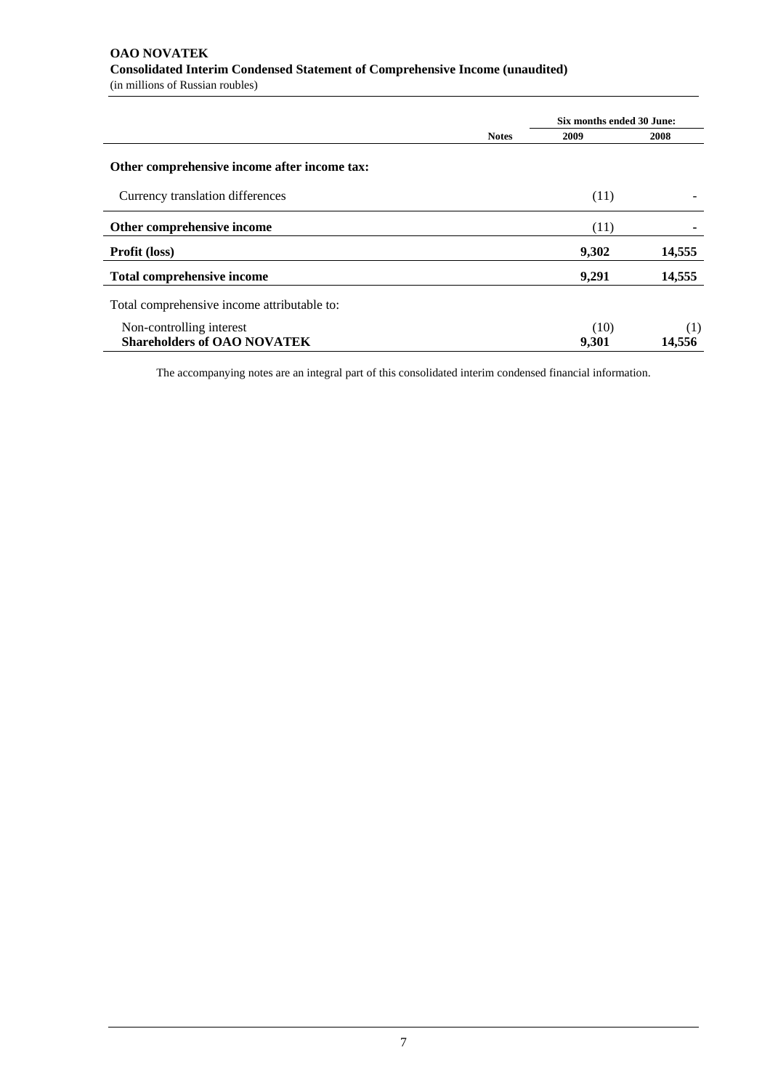# **OAO NOVATEK Consolidated Interim Condensed Statement of Comprehensive Income (unaudited)**

(in millions of Russian roubles)

|                                              |              | Six months ended 30 June: |                 |
|----------------------------------------------|--------------|---------------------------|-----------------|
|                                              | <b>Notes</b> | 2009                      | 2008            |
| Other comprehensive income after income tax: |              |                           |                 |
| Currency translation differences             |              | (11)                      | $\qquad \qquad$ |
| Other comprehensive income                   |              | (11)                      |                 |
| <b>Profit (loss)</b>                         |              | 9,302                     | 14,555          |
| <b>Total comprehensive income</b>            |              | 9,291                     | 14,555          |
| Total comprehensive income attributable to:  |              |                           |                 |
| Non-controlling interest                     |              | (10)                      | (1)             |
| <b>Shareholders of OAO NOVATEK</b>           |              | 9,301                     | 14.556          |

The accompanying notes are an integral part of this consolidated interim condensed financial information.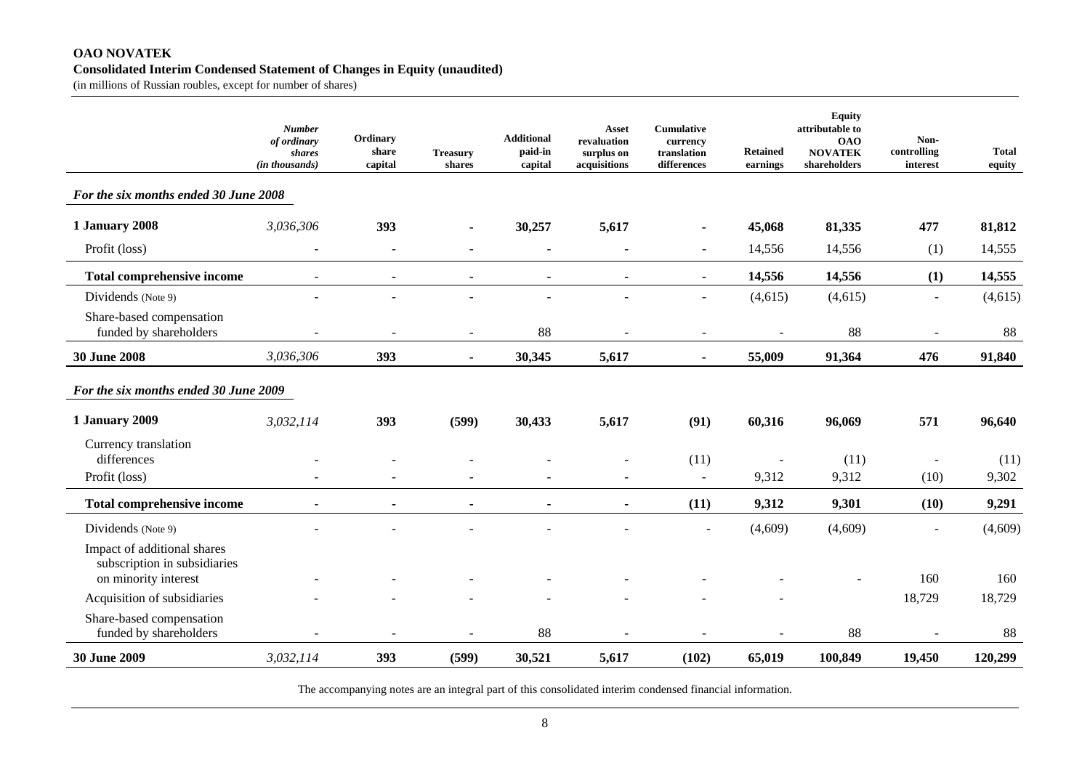#### **OAO NOVATEK Consolidated Interim Condensed Statement of Changes in Equity (unaudited)**

(in millions of Russian roubles, except for number of shares)

|                                                                                     | <b>Number</b><br>of ordinary<br>shares<br>(in thousands) | Ordinary<br>share<br>capital | <b>Treasury</b><br>shares | <b>Additional</b><br>paid-in<br>capital | Asset<br>revaluation<br>surplus on<br>acquisitions | <b>Cumulative</b><br>currency<br>translation<br>differences | <b>Retained</b><br>earnings | <b>Equity</b><br>attributable to<br><b>OAO</b><br><b>NOVATEK</b><br>shareholders | Non-<br>controlling<br>interest | <b>Total</b><br>equity |
|-------------------------------------------------------------------------------------|----------------------------------------------------------|------------------------------|---------------------------|-----------------------------------------|----------------------------------------------------|-------------------------------------------------------------|-----------------------------|----------------------------------------------------------------------------------|---------------------------------|------------------------|
| For the six months ended 30 June 2008                                               |                                                          |                              |                           |                                         |                                                    |                                                             |                             |                                                                                  |                                 |                        |
| <b>1 January 2008</b>                                                               | 3,036,306                                                | 393                          | $\blacksquare$            | 30,257                                  | 5,617                                              | $\blacksquare$                                              | 45,068                      | 81,335                                                                           | 477                             | 81,812                 |
| Profit (loss)                                                                       | $\overline{\phantom{a}}$                                 | $\sim$                       |                           | $\sim$                                  | $\sim$                                             | $\blacksquare$                                              | 14,556                      | 14,556                                                                           | (1)                             | 14,555                 |
| <b>Total comprehensive income</b>                                                   |                                                          | $\blacksquare$               |                           | $\blacksquare$                          |                                                    | $\blacksquare$                                              | 14,556                      | 14,556                                                                           | (1)                             | 14,555                 |
| Dividends (Note 9)                                                                  |                                                          |                              |                           |                                         |                                                    | $\blacksquare$                                              | (4,615)                     | (4,615)                                                                          | ÷,                              | (4, 615)               |
| Share-based compensation<br>funded by shareholders                                  |                                                          |                              | $\overline{\phantom{a}}$  | 88                                      |                                                    | $\blacksquare$                                              |                             | 88                                                                               | $\overline{\phantom{a}}$        | 88                     |
| <b>30 June 2008</b>                                                                 | 3,036,306                                                | 393                          | $\blacksquare$            | 30,345                                  | 5,617                                              | $\blacksquare$                                              | 55,009                      | 91,364                                                                           | 476                             | 91,840                 |
| For the six months ended 30 June 2009                                               |                                                          |                              |                           |                                         |                                                    |                                                             |                             |                                                                                  |                                 |                        |
| 1 January 2009                                                                      | 3,032,114                                                | 393                          | (599)                     | 30,433                                  | 5,617                                              | (91)                                                        | 60,316                      | 96,069                                                                           | 571                             | 96,640                 |
| Currency translation<br>differences<br>Profit (loss)                                |                                                          |                              |                           |                                         |                                                    | (11)<br>$\sim$                                              | 9,312                       | (11)<br>9,312                                                                    | (10)                            | (11)<br>9,302          |
| <b>Total comprehensive income</b>                                                   |                                                          |                              |                           |                                         |                                                    | (11)                                                        | 9,312                       | 9,301                                                                            | (10)                            | 9,291                  |
| Dividends (Note 9)                                                                  |                                                          |                              |                           |                                         |                                                    |                                                             | (4,609)                     | (4,609)                                                                          |                                 | (4,609)                |
| Impact of additional shares<br>subscription in subsidiaries<br>on minority interest |                                                          |                              |                           |                                         |                                                    |                                                             |                             |                                                                                  | 160                             | 160                    |
| Acquisition of subsidiaries                                                         |                                                          |                              |                           |                                         |                                                    |                                                             |                             |                                                                                  | 18,729                          | 18,729                 |
| Share-based compensation<br>funded by shareholders                                  |                                                          |                              |                           | 88                                      |                                                    |                                                             |                             | 88                                                                               |                                 | 88                     |
| <b>30 June 2009</b>                                                                 | 3,032,114                                                | 393                          | (599)                     | 30,521                                  | 5,617                                              | (102)                                                       | 65,019                      | 100,849                                                                          | 19,450                          | 120,299                |

The accompanying notes are an integral part of this consolidated interim condensed financial information.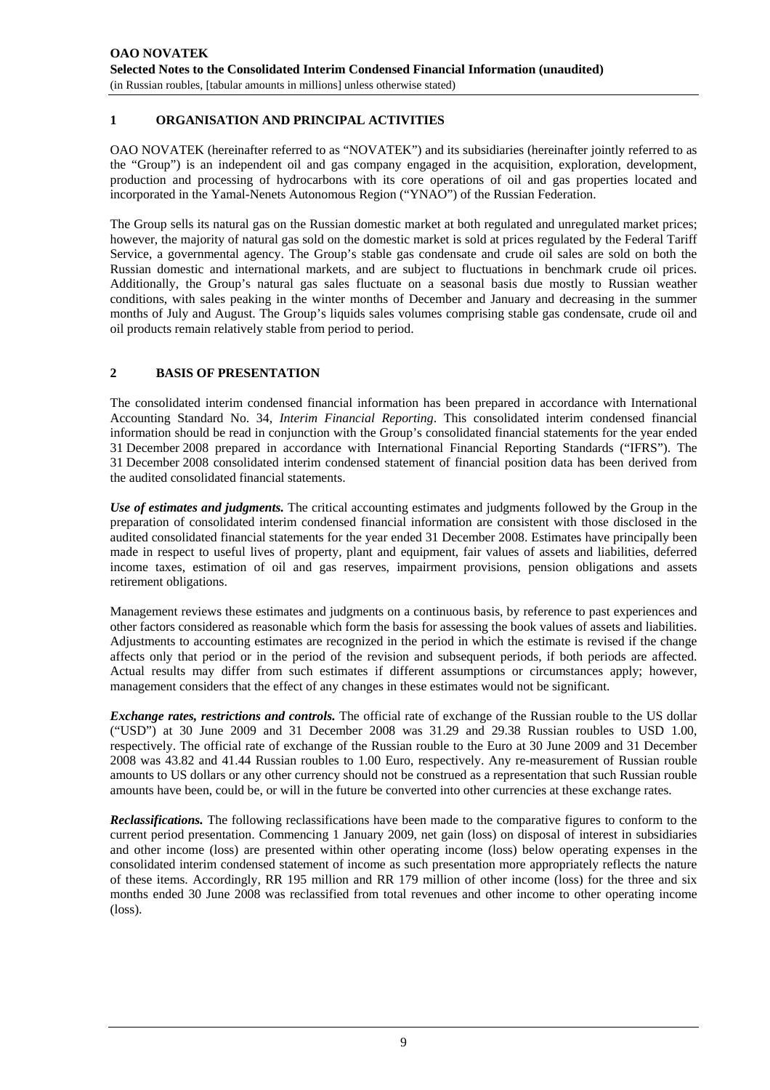# **1 ORGANISATION AND PRINCIPAL ACTIVITIES**

OAO NOVATEK (hereinafter referred to as "NOVATEK") and its subsidiaries (hereinafter jointly referred to as the "Group") is an independent oil and gas company engaged in the acquisition, exploration, development, production and processing of hydrocarbons with its core operations of oil and gas properties located and incorporated in the Yamal-Nenets Autonomous Region ("YNAO") of the Russian Federation.

The Group sells its natural gas on the Russian domestic market at both regulated and unregulated market prices; however, the majority of natural gas sold on the domestic market is sold at prices regulated by the Federal Tariff Service, a governmental agency. The Group's stable gas condensate and crude oil sales are sold on both the Russian domestic and international markets, and are subject to fluctuations in benchmark crude oil prices. Additionally, the Group's natural gas sales fluctuate on a seasonal basis due mostly to Russian weather conditions, with sales peaking in the winter months of December and January and decreasing in the summer months of July and August. The Group's liquids sales volumes comprising stable gas condensate, crude oil and oil products remain relatively stable from period to period.

#### **2 BASIS OF PRESENTATION**

The consolidated interim condensed financial information has been prepared in accordance with International Accounting Standard No. 34, *Interim Financial Reporting*. This consolidated interim condensed financial information should be read in conjunction with the Group's consolidated financial statements for the year ended 31 December 2008 prepared in accordance with International Financial Reporting Standards ("IFRS"). The 31 December 2008 consolidated interim condensed statement of financial position data has been derived from the audited consolidated financial statements.

*Use of estimates and judgments.* The critical accounting estimates and judgments followed by the Group in the preparation of consolidated interim condensed financial information are consistent with those disclosed in the audited consolidated financial statements for the year ended 31 December 2008. Estimates have principally been made in respect to useful lives of property, plant and equipment, fair values of assets and liabilities, deferred income taxes, estimation of oil and gas reserves, impairment provisions, pension obligations and assets retirement obligations.

Management reviews these estimates and judgments on a continuous basis, by reference to past experiences and other factors considered as reasonable which form the basis for assessing the book values of assets and liabilities. Adjustments to accounting estimates are recognized in the period in which the estimate is revised if the change affects only that period or in the period of the revision and subsequent periods, if both periods are affected. Actual results may differ from such estimates if different assumptions or circumstances apply; however, management considers that the effect of any changes in these estimates would not be significant.

*Exchange rates, restrictions and controls.* The official rate of exchange of the Russian rouble to the US dollar ("USD") at 30 June 2009 and 31 December 2008 was 31.29 and 29.38 Russian roubles to USD 1.00, respectively. The official rate of exchange of the Russian rouble to the Euro at 30 June 2009 and 31 December 2008 was 43.82 and 41.44 Russian roubles to 1.00 Euro, respectively. Any re-measurement of Russian rouble amounts to US dollars or any other currency should not be construed as a representation that such Russian rouble amounts have been, could be, or will in the future be converted into other currencies at these exchange rates.

*Reclassifications.* The following reclassifications have been made to the comparative figures to conform to the current period presentation. Commencing 1 January 2009, net gain (loss) on disposal of interest in subsidiaries and other income (loss) are presented within other operating income (loss) below operating expenses in the consolidated interim condensed statement of income as such presentation more appropriately reflects the nature of these items. Accordingly, RR 195 million and RR 179 million of other income (loss) for the three and six months ended 30 June 2008 was reclassified from total revenues and other income to other operating income (loss).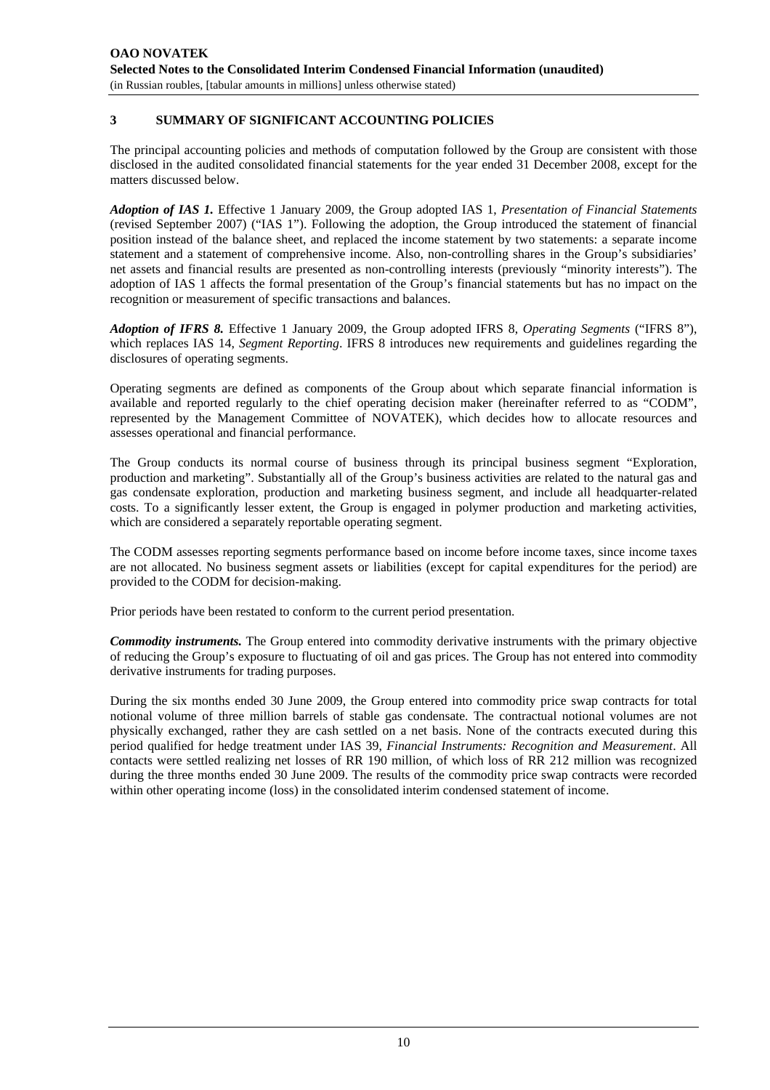# **3 SUMMARY OF SIGNIFICANT ACCOUNTING POLICIES**

The principal accounting policies and methods of computation followed by the Group are consistent with those disclosed in the audited consolidated financial statements for the year ended 31 December 2008, except for the matters discussed below.

*Adoption of IAS 1.* Effective 1 January 2009, the Group adopted IAS 1, *Presentation of Financial Statements* (revised September 2007) ("IAS 1"). Following the adoption, the Group introduced the statement of financial position instead of the balance sheet, and replaced the income statement by two statements: a separate income statement and a statement of comprehensive income. Also, non-controlling shares in the Group's subsidiaries' net assets and financial results are presented as non-controlling interests (previously "minority interests"). The adoption of IAS 1 affects the formal presentation of the Group's financial statements but has no impact on the recognition or measurement of specific transactions and balances.

*Adoption of IFRS 8.* Effective 1 January 2009, the Group adopted IFRS 8, *Operating Segments* ("IFRS 8"), which replaces IAS 14, *Segment Reporting*. IFRS 8 introduces new requirements and guidelines regarding the disclosures of operating segments.

Operating segments are defined as components of the Group about which separate financial information is available and reported regularly to the chief operating decision maker (hereinafter referred to as "CODM", represented by the Management Committee of NOVATEK), which decides how to allocate resources and assesses operational and financial performance.

The Group conducts its normal course of business through its principal business segment "Exploration, production and marketing". Substantially all of the Group's business activities are related to the natural gas and gas condensate exploration, production and marketing business segment, and include all headquarter-related costs. To a significantly lesser extent, the Group is engaged in polymer production and marketing activities, which are considered a separately reportable operating segment.

The CODM assesses reporting segments performance based on income before income taxes, since income taxes are not allocated. No business segment assets or liabilities (except for capital expenditures for the period) are provided to the CODM for decision-making.

Prior periods have been restated to conform to the current period presentation.

*Commodity instruments.* The Group entered into commodity derivative instruments with the primary objective of reducing the Group's exposure to fluctuating of oil and gas prices. The Group has not entered into commodity derivative instruments for trading purposes.

During the six months ended 30 June 2009, the Group entered into commodity price swap contracts for total notional volume of three million barrels of stable gas condensate. The contractual notional volumes are not physically exchanged, rather they are cash settled on a net basis. None of the contracts executed during this period qualified for hedge treatment under IAS 39, *Financial Instruments: Recognition and Measurement*. All contacts were settled realizing net losses of RR 190 million, of which loss of RR 212 million was recognized during the three months ended 30 June 2009. The results of the commodity price swap contracts were recorded within other operating income (loss) in the consolidated interim condensed statement of income.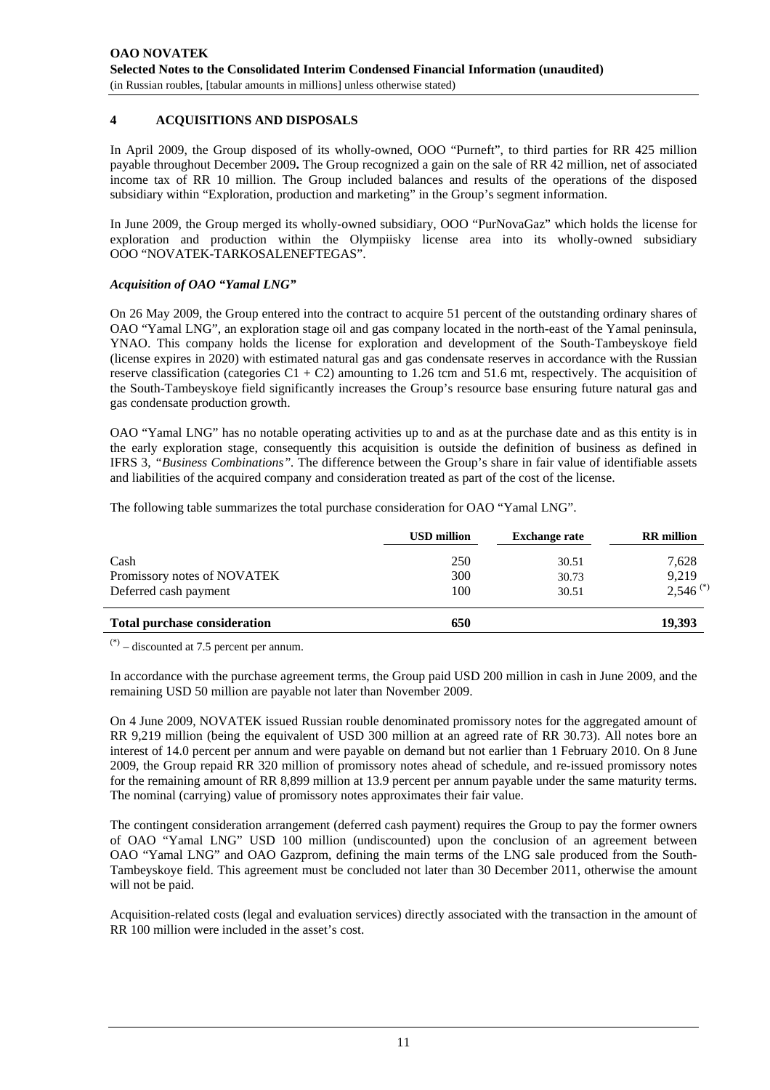#### **4 ACQUISITIONS AND DISPOSALS**

In April 2009, the Group disposed of its wholly-owned, OOO "Purneft", to third parties for RR 425 million payable throughout December 2009**.** The Group recognized a gain on the sale of RR 42 million, net of associated income tax of RR 10 million. The Group included balances and results of the operations of the disposed subsidiary within "Exploration, production and marketing" in the Group's segment information.

In June 2009, the Group merged its wholly-owned subsidiary, OOO "PurNovaGaz" which holds the license for exploration and production within the Olympiisky license area into its wholly-owned subsidiary OOO "NOVATEK-TARKOSALENEFTEGAS".

#### *Acquisition of OAO "Yamal LNG"*

On 26 May 2009, the Group entered into the contract to acquire 51 percent of the outstanding ordinary shares of OAO "Yamal LNG", an exploration stage oil and gas company located in the north-east of the Yamal peninsula, YNAO. This company holds the license for exploration and development of the South-Tambeyskoye field (license expires in 2020) with estimated natural gas and gas condensate reserves in accordance with the Russian reserve classification (categories  $C1 + C2$ ) amounting to 1.26 tcm and 51.6 mt, respectively. The acquisition of the South-Tambeyskoye field significantly increases the Group's resource base ensuring future natural gas and gas condensate production growth.

OAO "Yamal LNG" has no notable operating activities up to and as at the purchase date and as this entity is in the early exploration stage, consequently this acquisition is outside the definition of business as defined in IFRS 3, *"Business Combinations".* The difference between the Group's share in fair value of identifiable assets and liabilities of the acquired company and consideration treated as part of the cost of the license.

The following table summarizes the total purchase consideration for OAO "Yamal LNG".

|                                     | <b>USD million</b> | <b>Exchange rate</b> | <b>RR</b> million      |
|-------------------------------------|--------------------|----------------------|------------------------|
| Cash                                | 250                | 30.51                | 7,628                  |
| Promissory notes of NOVATEK         | 300                | 30.73                | 9,219                  |
| Deferred cash payment               | 100                | 30.51                | $2,546$ <sup>(*)</sup> |
| <b>Total purchase consideration</b> | 650                |                      | 19.393                 |

 $(*)$  – discounted at 7.5 percent per annum.

In accordance with the purchase agreement terms, the Group paid USD 200 million in cash in June 2009, and the remaining USD 50 million are payable not later than November 2009.

On 4 June 2009, NOVATEK issued Russian rouble denominated promissory notes for the aggregated amount of RR 9,219 million (being the equivalent of USD 300 million at an agreed rate of RR 30.73). All notes bore an interest of 14.0 percent per annum and were payable on demand but not earlier than 1 February 2010. On 8 June 2009, the Group repaid RR 320 million of promissory notes ahead of schedule, and re-issued promissory notes for the remaining amount of RR 8,899 million at 13.9 percent per annum payable under the same maturity terms. The nominal (carrying) value of promissory notes approximates their fair value.

The contingent consideration arrangement (deferred cash payment) requires the Group to pay the former owners of OAO "Yamal LNG" USD 100 million (undiscounted) upon the conclusion of an agreement between OAO "Yamal LNG" and OAO Gazprom, defining the main terms of the LNG sale produced from the South-Tambeyskoye field. This agreement must be concluded not later than 30 December 2011, otherwise the amount will not be paid.

Acquisition-related costs (legal and evaluation services) directly associated with the transaction in the amount of RR 100 million were included in the asset's cost.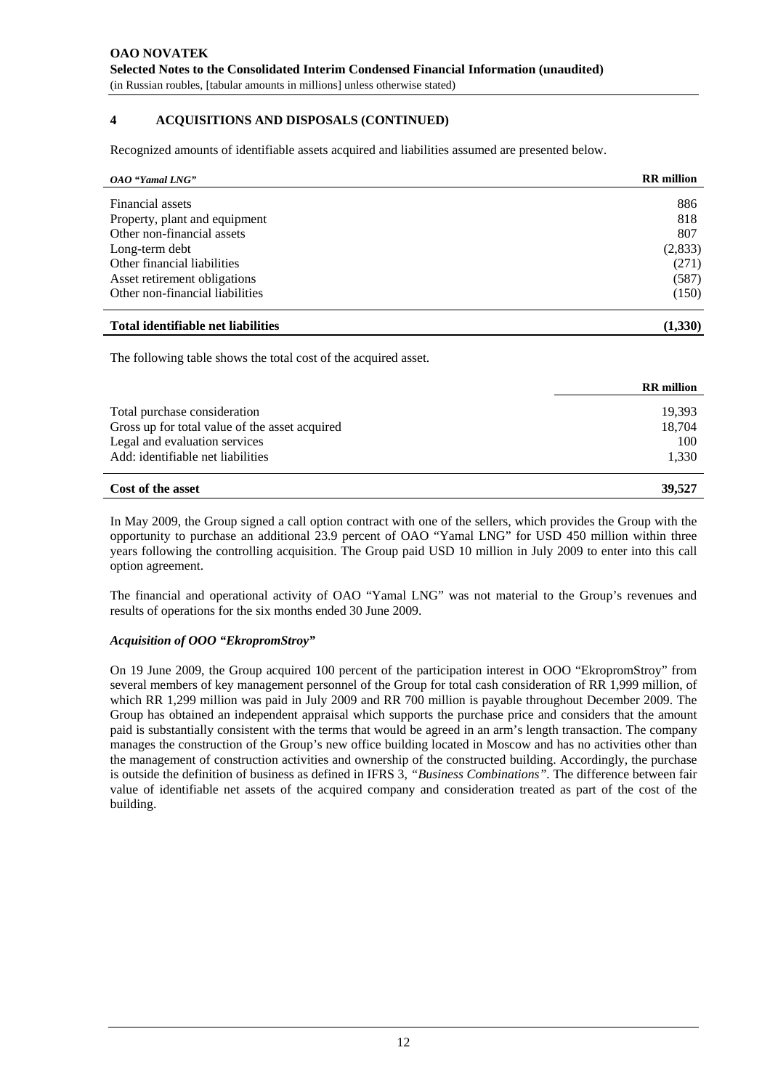# **4 ACQUISITIONS AND DISPOSALS (CONTINUED)**

Recognized amounts of identifiable assets acquired and liabilities assumed are presented below.

| OAO "Yamal LNG"                 | <b>RR</b> million |
|---------------------------------|-------------------|
|                                 |                   |
| Financial assets                | 886               |
| Property, plant and equipment   | 818               |
| Other non-financial assets      | 807               |
| Long-term debt                  | (2,833)           |
| Other financial liabilities     | (271)             |
| Asset retirement obligations    | (587)             |
| Other non-financial liabilities | (150)             |
|                                 |                   |

#### **Total identifiable net liabilities (1,330)**

The following table shows the total cost of the acquired asset.

|                                                | <b>RR</b> million |
|------------------------------------------------|-------------------|
| Total purchase consideration                   | 19.393            |
| Gross up for total value of the asset acquired | 18.704            |
| Legal and evaluation services                  | 100               |
| Add: identifiable net liabilities              | 1,330             |
|                                                |                   |

#### **Cost of the asset 39,527 39,527**

In May 2009, the Group signed a call option contract with one of the sellers, which provides the Group with the opportunity to purchase an additional 23.9 percent of OAO "Yamal LNG" for USD 450 million within three years following the controlling acquisition. The Group paid USD 10 million in July 2009 to enter into this call option agreement.

The financial and operational activity of OAO "Yamal LNG" was not material to the Group's revenues and results of operations for the six months ended 30 June 2009.

#### *Acquisition of OOO "EkropromStroy"*

On 19 June 2009, the Group acquired 100 percent of the participation interest in OOO "EkropromStroy" from several members of key management personnel of the Group for total cash consideration of RR 1,999 million, of which RR 1,299 million was paid in July 2009 and RR 700 million is payable throughout December 2009. The Group has obtained an independent appraisal which supports the purchase price and considers that the amount paid is substantially consistent with the terms that would be agreed in an arm's length transaction. The company manages the construction of the Group's new office building located in Moscow and has no activities other than the management of construction activities and ownership of the constructed building. Accordingly, the purchase is outside the definition of business as defined in IFRS 3, *"Business Combinations".* The difference between fair value of identifiable net assets of the acquired company and consideration treated as part of the cost of the building.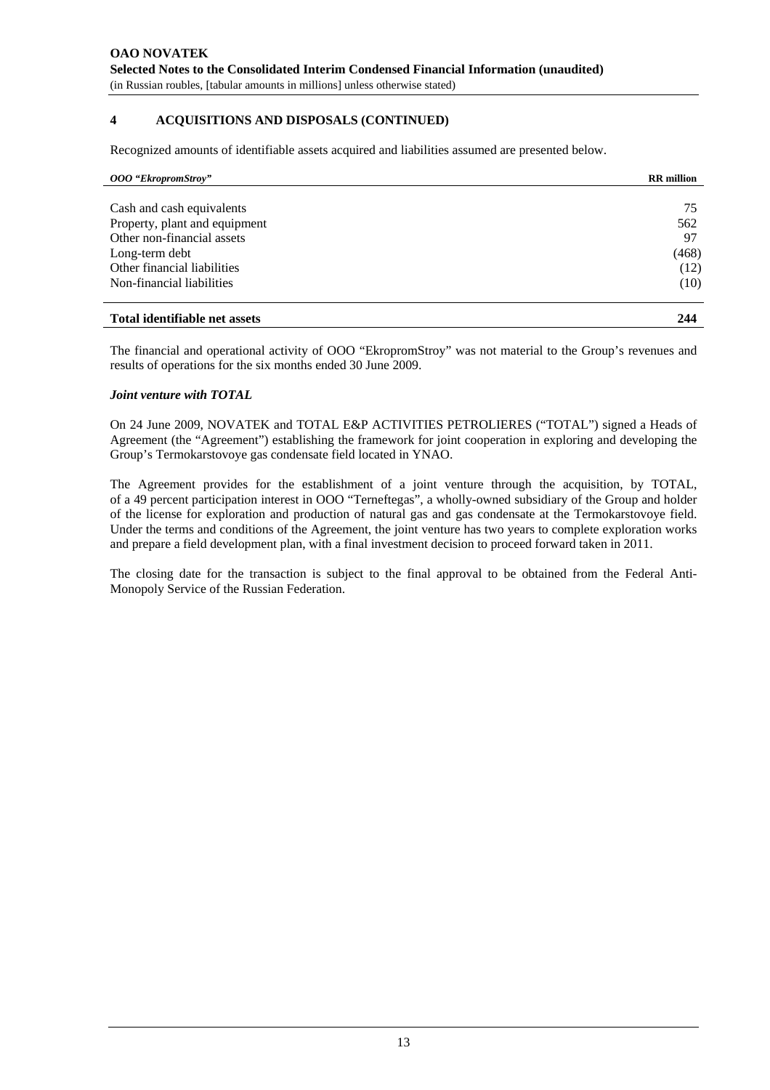## **4 ACQUISITIONS AND DISPOSALS (CONTINUED)**

Recognized amounts of identifiable assets acquired and liabilities assumed are presented below.

| <b>OOO</b> "EkropromStroy"    | <b>RR</b> million |
|-------------------------------|-------------------|
|                               |                   |
| Cash and cash equivalents     | 75                |
| Property, plant and equipment | 562               |
| Other non-financial assets    | 97                |
| Long-term debt                | (468)             |
| Other financial liabilities   | (12)              |
| Non-financial liabilities     | (10)              |
| Total identifiable net assets | 244               |

The financial and operational activity of OOO "EkropromStroy" was not material to the Group's revenues and results of operations for the six months ended 30 June 2009.

#### *Joint venture with TOTAL*

On 24 June 2009, NOVATEK and TOTAL E&P ACTIVITIES PETROLIERES ("TOTAL") signed a Heads of Agreement (the "Agreement") establishing the framework for joint cooperation in exploring and developing the Group's Termokarstovoye gas condensate field located in YNAO.

The Agreement provides for the establishment of a joint venture through the acquisition, by TOTAL, of a 49 percent participation interest in OOO "Terneftegas", a wholly-owned subsidiary of the Group and holder of the license for exploration and production of natural gas and gas condensate at the Termokarstovoye field. Under the terms and conditions of the Agreement, the joint venture has two years to complete exploration works and prepare a field development plan, with a final investment decision to proceed forward taken in 2011.

The closing date for the transaction is subject to the final approval to be obtained from the Federal Anti-Monopoly Service of the Russian Federation.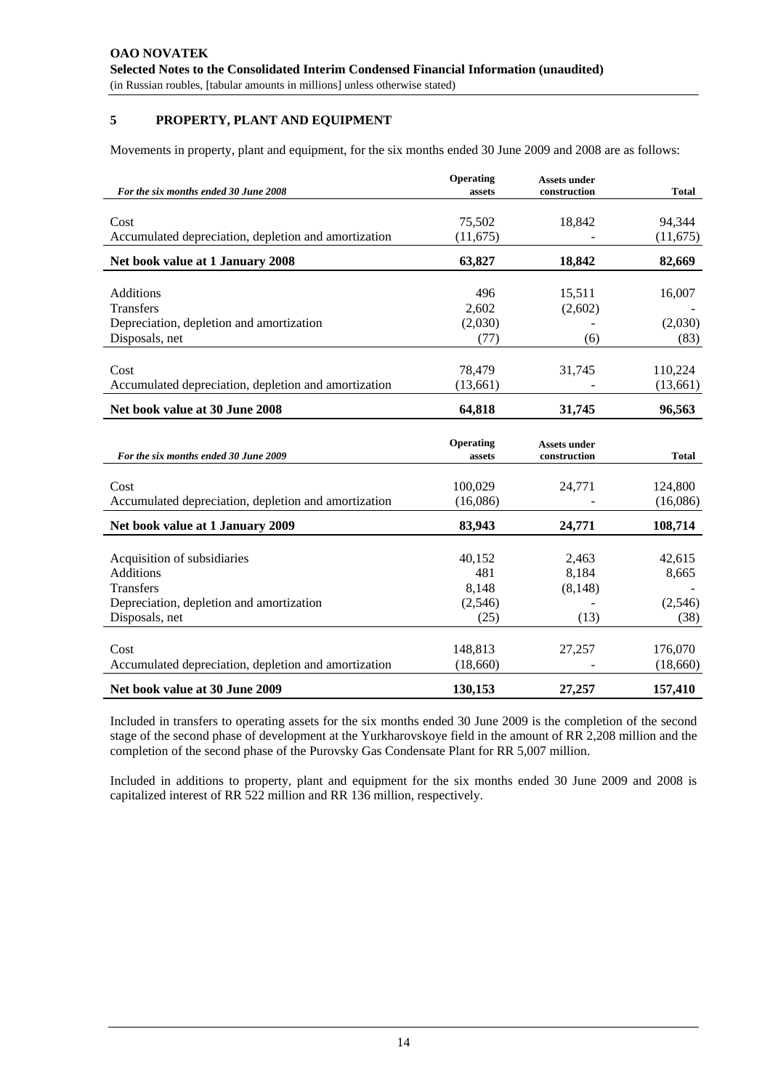## **5 PROPERTY, PLANT AND EQUIPMENT**

Movements in property, plant and equipment, for the six months ended 30 June 2009 and 2008 are as follows:

| For the six months ended 30 June 2008                | Operating<br>assets | <b>Assets under</b><br>construction | <b>Total</b> |
|------------------------------------------------------|---------------------|-------------------------------------|--------------|
|                                                      |                     |                                     |              |
| Cost                                                 | 75,502              | 18,842                              | 94,344       |
| Accumulated depreciation, depletion and amortization | (11, 675)           |                                     | (11,675)     |
| Net book value at 1 January 2008                     | 63,827              | 18,842                              | 82,669       |
| Additions                                            | 496                 | 15,511                              | 16,007       |
| Transfers                                            | 2,602               | (2,602)                             |              |
| Depreciation, depletion and amortization             | (2,030)             |                                     | (2,030)      |
| Disposals, net                                       | (77)                | (6)                                 | (83)         |
|                                                      |                     |                                     |              |
| Cost                                                 | 78,479              | 31,745                              | 110,224      |
| Accumulated depreciation, depletion and amortization | (13,661)            |                                     | (13,661)     |
| Net book value at 30 June 2008                       | 64,818              | 31,745                              | 96,563       |
|                                                      |                     |                                     |              |
| For the six months ended 30 June 2009                | Operating<br>assets | <b>Assets under</b><br>construction | <b>Total</b> |
|                                                      |                     |                                     |              |
| Cost                                                 | 100,029             | 24,771                              | 124,800      |
| Accumulated depreciation, depletion and amortization | (16,086)            |                                     | (16,086)     |
| Net book value at 1 January 2009                     | 83,943              | 24,771                              | 108,714      |
|                                                      |                     |                                     |              |
| Acquisition of subsidiaries                          | 40,152              | 2,463                               | 42,615       |
| <b>Additions</b>                                     | 481                 | 8,184                               | 8,665        |
| <b>Transfers</b>                                     | 8,148               | (8, 148)                            |              |
| Depreciation, depletion and amortization             | (2,546)             |                                     | (2,546)      |
| Disposals, net                                       | (25)                | (13)                                | (38)         |
|                                                      |                     |                                     |              |
| Cost                                                 | 148,813             | 27,257                              | 176,070      |
| Accumulated depreciation, depletion and amortization | (18,660)            |                                     | (18,660)     |

Included in transfers to operating assets for the six months ended 30 June 2009 is the completion of the second stage of the second phase of development at the Yurkharovskoye field in the amount of RR 2,208 million and the completion of the second phase of the Purovsky Gas Condensate Plant for RR 5,007 million.

Included in additions to property, plant and equipment for the six months ended 30 June 2009 and 2008 is capitalized interest of RR 522 million and RR 136 million, respectively.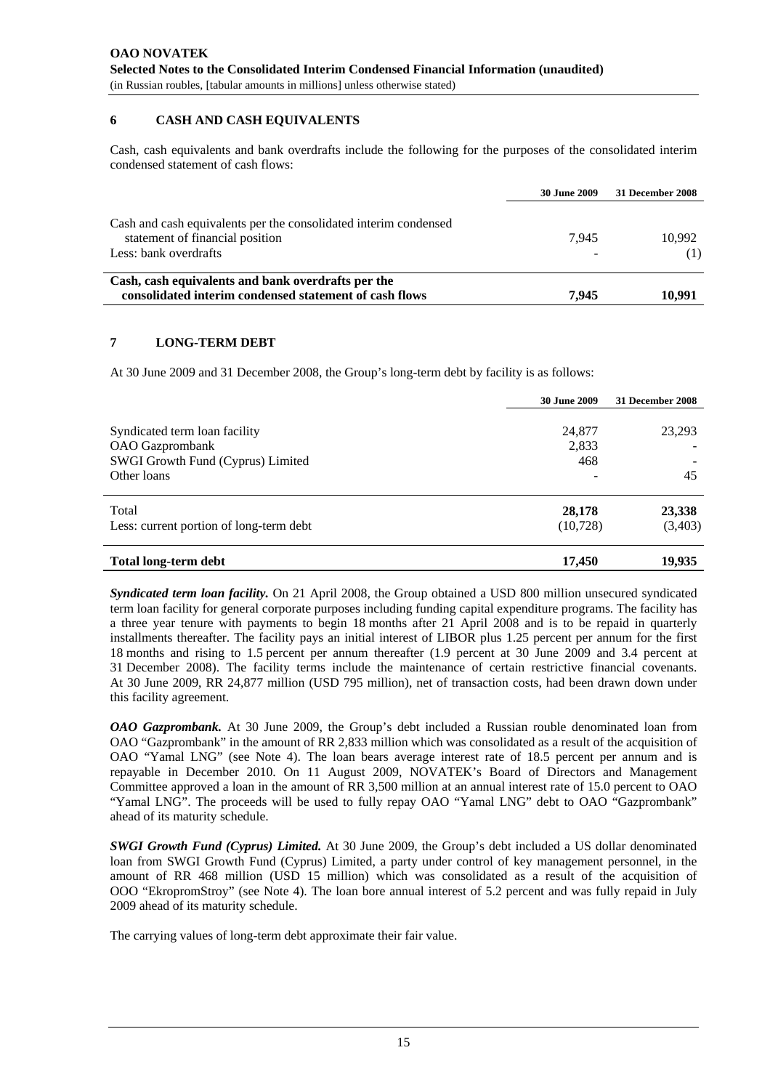#### **6 CASH AND CASH EQUIVALENTS**

Cash, cash equivalents and bank overdrafts include the following for the purposes of the consolidated interim condensed statement of cash flows:

|                                                                                                                              | <b>30 June 2009</b> | 31 December 2008 |
|------------------------------------------------------------------------------------------------------------------------------|---------------------|------------------|
| Cash and cash equivalents per the consolidated interim condensed<br>statement of financial position<br>Less: bank overdrafts | 7.945               | 10,992           |
| Cash, cash equivalents and bank overdrafts per the<br>consolidated interim condensed statement of cash flows                 | 7.945               | 10.991           |

#### **7 LONG-TERM DEBT**

At 30 June 2009 and 31 December 2008, the Group's long-term debt by facility is as follows:

|                                                                                                      | <b>30 June 2009</b>    | 31 December 2008  |
|------------------------------------------------------------------------------------------------------|------------------------|-------------------|
| Syndicated term loan facility<br>OAO Gazprombank<br>SWGI Growth Fund (Cyprus) Limited<br>Other loans | 24,877<br>2,833<br>468 | 23,293<br>45      |
| Total<br>Less: current portion of long-term debt                                                     | 28,178<br>(10,728)     | 23,338<br>(3,403) |
| Total long-term debt                                                                                 | 17,450                 | 19,935            |

*Syndicated term loan facility.* On 21 April 2008, the Group obtained a USD 800 million unsecured syndicated term loan facility for general corporate purposes including funding capital expenditure programs. The facility has a three year tenure with payments to begin 18 months after 21 April 2008 and is to be repaid in quarterly installments thereafter. The facility pays an initial interest of LIBOR plus 1.25 percent per annum for the first 18 months and rising to 1.5 percent per annum thereafter (1.9 percent at 30 June 2009 and 3.4 percent at 31 December 2008). The facility terms include the maintenance of certain restrictive financial covenants. At 30 June 2009, RR 24,877 million (USD 795 million), net of transaction costs, had been drawn down under this facility agreement.

*OAO Gazprombank.* At 30 June 2009, the Group's debt included a Russian rouble denominated loan from OAO "Gazprombank" in the amount of RR 2,833 million which was consolidated as a result of the acquisition of OAO "Yamal LNG" (see Note 4). The loan bears average interest rate of 18.5 percent per annum and is repayable in December 2010. On 11 August 2009, NOVATEK's Board of Directors and Management Committee approved a loan in the amount of RR 3,500 million at an annual interest rate of 15.0 percent to OAO "Yamal LNG". The proceeds will be used to fully repay OAO "Yamal LNG" debt to OAO "Gazprombank" ahead of its maturity schedule.

*SWGI Growth Fund (Cyprus) Limited.* At 30 June 2009, the Group's debt included a US dollar denominated loan from SWGI Growth Fund (Cyprus) Limited, a party under control of key management personnel, in the amount of RR 468 million (USD 15 million) which was consolidated as a result of the acquisition of OOO "EkropromStroy" (see Note 4). The loan bore annual interest of 5.2 percent and was fully repaid in July 2009 ahead of its maturity schedule.

The carrying values of long-term debt approximate their fair value.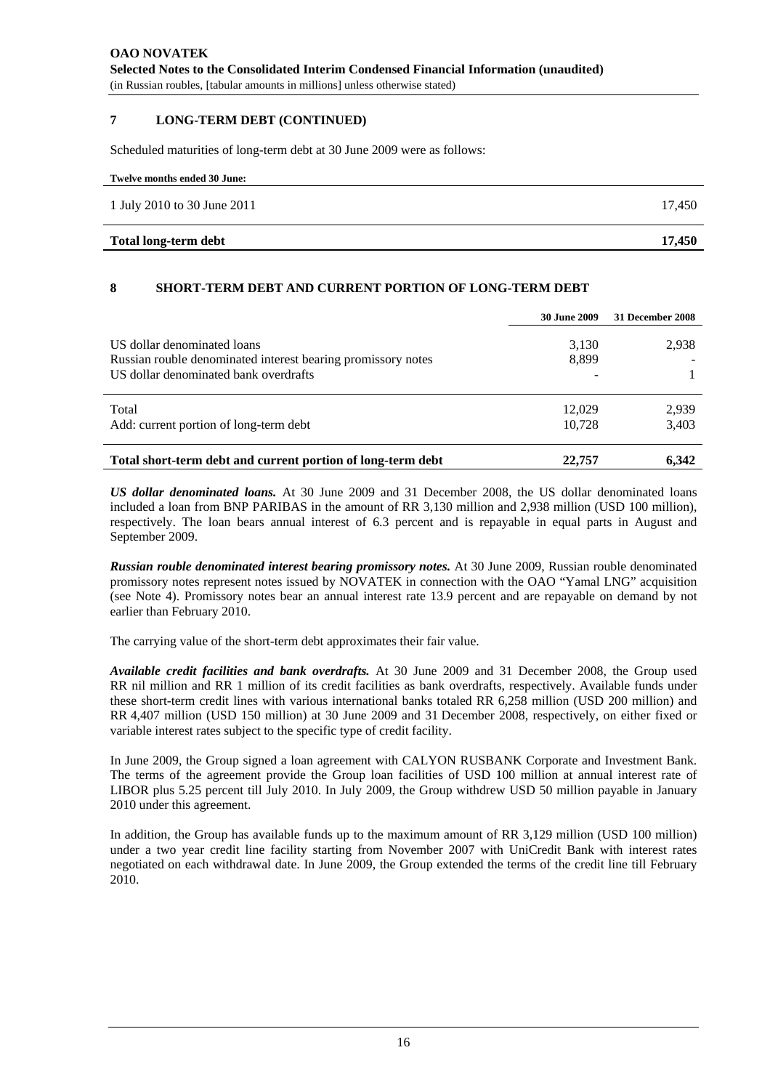#### **7 LONG-TERM DEBT (CONTINUED)**

Scheduled maturities of long-term debt at 30 June 2009 were as follows:

| Total long-term debt         | 17.450 |
|------------------------------|--------|
| 1 July 2010 to 30 June 2011  | 17.450 |
| Twelve months ended 30 June: |        |

#### **8 SHORT-TERM DEBT AND CURRENT PORTION OF LONG-TERM DEBT**

|                                                                                                                                      | <b>30 June 2009</b> | 31 December 2008 |
|--------------------------------------------------------------------------------------------------------------------------------------|---------------------|------------------|
| US dollar denominated loans<br>Russian rouble denominated interest bearing promissory notes<br>US dollar denominated bank overdrafts | 3,130<br>8,899      | 2,938            |
| Total<br>Add: current portion of long-term debt                                                                                      | 12.029<br>10.728    | 2,939<br>3,403   |
| Total short-term debt and current portion of long-term debt                                                                          | 22,757              | 6,342            |

*US dollar denominated loans.* At 30 June 2009 and 31 December 2008, the US dollar denominated loans included a loan from BNP PARIBAS in the amount of RR 3,130 million and 2,938 million (USD 100 million), respectively. The loan bears annual interest of 6.3 percent and is repayable in equal parts in August and September 2009.

*Russian rouble denominated interest bearing promissory notes.* At 30 June 2009, Russian rouble denominated promissory notes represent notes issued by NOVATEK in connection with the OAO "Yamal LNG" acquisition (see Note 4). Promissory notes bear an annual interest rate 13.9 percent and are repayable on demand by not earlier than February 2010.

The carrying value of the short-term debt approximates their fair value.

*Available credit facilities and bank overdrafts.* At 30 June 2009 and 31 December 2008, the Group used RR nil million and RR 1 million of its credit facilities as bank overdrafts, respectively. Available funds under these short-term credit lines with various international banks totaled RR 6,258 million (USD 200 million) and RR 4,407 million (USD 150 million) at 30 June 2009 and 31 December 2008, respectively, on either fixed or variable interest rates subject to the specific type of credit facility.

In June 2009, the Group signed a loan agreement with CALYON RUSBANK Corporate and Investment Bank. The terms of the agreement provide the Group loan facilities of USD 100 million at annual interest rate of LIBOR plus 5.25 percent till July 2010. In July 2009, the Group withdrew USD 50 million payable in January 2010 under this agreement.

In addition, the Group has available funds up to the maximum amount of RR 3,129 million (USD 100 million) under a two year credit line facility starting from November 2007 with UniCredit Bank with interest rates negotiated on each withdrawal date. In June 2009, the Group extended the terms of the credit line till February 2010.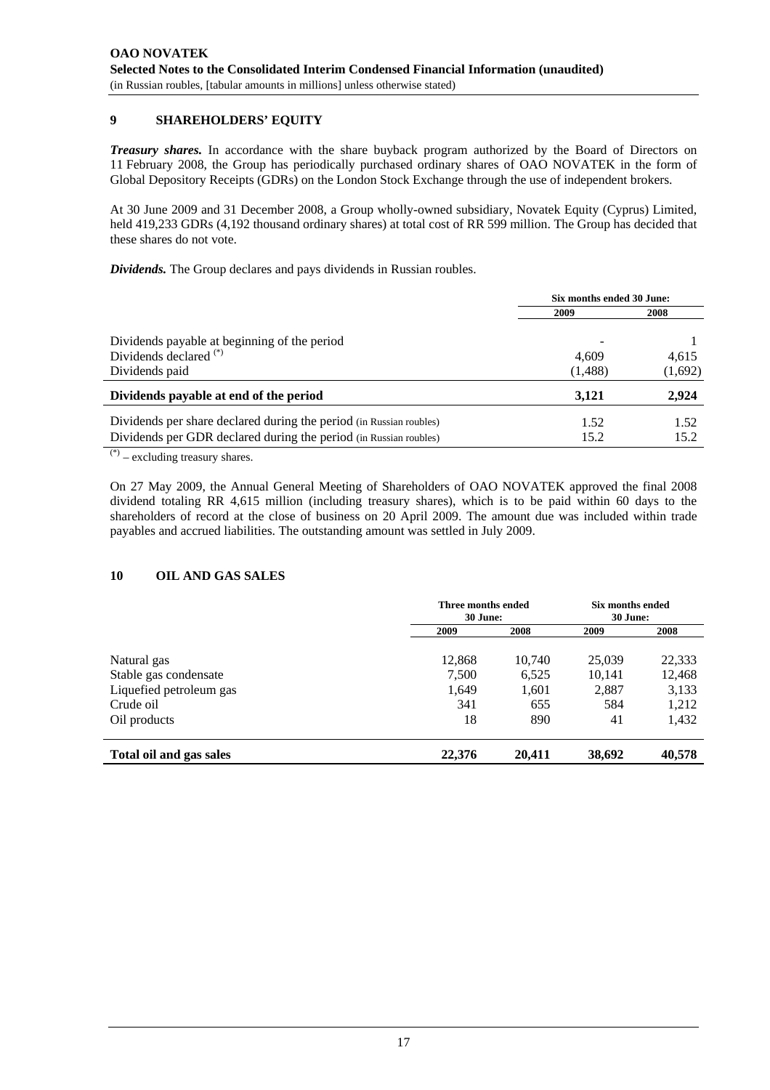# **9 SHAREHOLDERS' EQUITY**

*Treasury shares.* In accordance with the share buyback program authorized by the Board of Directors on 11 February 2008, the Group has periodically purchased ordinary shares of OAO NOVATEK in the form of Global Depository Receipts (GDRs) on the London Stock Exchange through the use of independent brokers.

At 30 June 2009 and 31 December 2008, a Group wholly-owned subsidiary, Novatek Equity (Cyprus) Limited, held 419,233 GDRs (4,192 thousand ordinary shares) at total cost of RR 599 million. The Group has decided that these shares do not vote.

*Dividends.* The Group declares and pays dividends in Russian roubles.

|                                                                                                                                          | Six months ended 30 June: |              |  |
|------------------------------------------------------------------------------------------------------------------------------------------|---------------------------|--------------|--|
|                                                                                                                                          | 2009                      | 2008         |  |
| Dividends payable at beginning of the period<br>Dividends declared <sup>(*)</sup>                                                        | 4.609                     | 4,615        |  |
| Dividends paid                                                                                                                           | (1,488)                   | (1,692)      |  |
| Dividends payable at end of the period                                                                                                   | 3.121                     | 2,924        |  |
| Dividends per share declared during the period (in Russian roubles)<br>Dividends per GDR declared during the period (in Russian roubles) | 1.52<br>15.2              | 1.52<br>15.2 |  |

 $(*)$  – excluding treasury shares.

On 27 May 2009, the Annual General Meeting of Shareholders of OAO NOVATEK approved the final 2008 dividend totaling RR 4,615 million (including treasury shares), which is to be paid within 60 days to the shareholders of record at the close of business on 20 April 2009. The amount due was included within trade payables and accrued liabilities. The outstanding amount was settled in July 2009.

#### **10 OIL AND GAS SALES**

|                         | Three months ended<br>30 June: |        | Six months ended<br>30 June: |        |
|-------------------------|--------------------------------|--------|------------------------------|--------|
|                         | 2009                           | 2008   | 2009                         | 2008   |
| Natural gas             | 12,868                         | 10,740 | 25,039                       | 22,333 |
| Stable gas condensate   | 7,500                          | 6,525  | 10.141                       | 12,468 |
| Liquefied petroleum gas | 1,649                          | 1,601  | 2,887                        | 3,133  |
| Crude oil               | 341                            | 655    | 584                          | 1,212  |
| Oil products            | 18                             | 890    | 41                           | 1,432  |
| Total oil and gas sales | 22,376                         | 20,411 | 38,692                       | 40,578 |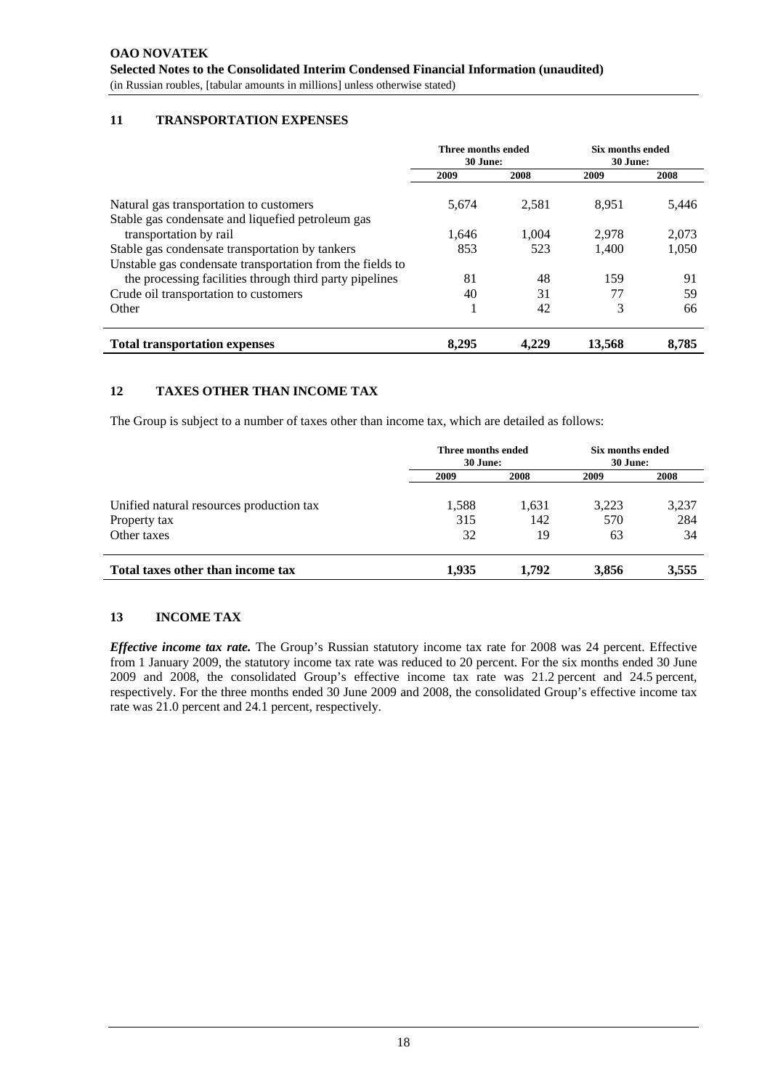# **11 TRANSPORTATION EXPENSES**

|                                                                                                              | Three months ended<br>30 June: |       | Six months ended<br>30 June: |       |
|--------------------------------------------------------------------------------------------------------------|--------------------------------|-------|------------------------------|-------|
|                                                                                                              | 2009                           | 2008  | 2009                         | 2008  |
| Natural gas transportation to customers                                                                      | 5.674                          | 2.581 | 8.951                        | 5,446 |
| Stable gas condensate and liquefied petroleum gas<br>transportation by rail                                  | 1.646                          | 1.004 | 2.978                        | 2,073 |
| Stable gas condensate transportation by tankers<br>Unstable gas condensate transportation from the fields to | 853                            | 523   | 1,400                        | 1,050 |
| the processing facilities through third party pipelines                                                      | 81                             | 48    | 159                          | 91    |
| Crude oil transportation to customers                                                                        | 40                             | 31    | 77                           | 59    |
| Other                                                                                                        |                                | 42    | 3                            | 66    |
| <b>Total transportation expenses</b>                                                                         | 8.295                          | 4.229 | 13.568                       | 8.785 |

# **12 TAXES OTHER THAN INCOME TAX**

The Group is subject to a number of taxes other than income tax, which are detailed as follows:

|                                          | Three months ended<br>30 June: |       | Six months ended<br>30 June: |       |
|------------------------------------------|--------------------------------|-------|------------------------------|-------|
|                                          | 2009                           | 2008  | 2009                         | 2008  |
| Unified natural resources production tax | 1,588                          | 1,631 | 3,223                        | 3,237 |
| Property tax                             | 315                            | 142   | 570                          | 284   |
| Other taxes                              | 32                             | 19    | 63                           | 34    |
| Total taxes other than income tax        | 1.935                          | 1.792 | 3,856                        | 3,555 |

#### **13 INCOME TAX**

*Effective income tax rate.* The Group's Russian statutory income tax rate for 2008 was 24 percent. Effective from 1 January 2009, the statutory income tax rate was reduced to 20 percent. For the six months ended 30 June 2009 and 2008, the consolidated Group's effective income tax rate was 21.2 percent and 24.5 percent, respectively. For the three months ended 30 June 2009 and 2008, the consolidated Group's effective income tax rate was 21.0 percent and 24.1 percent, respectively.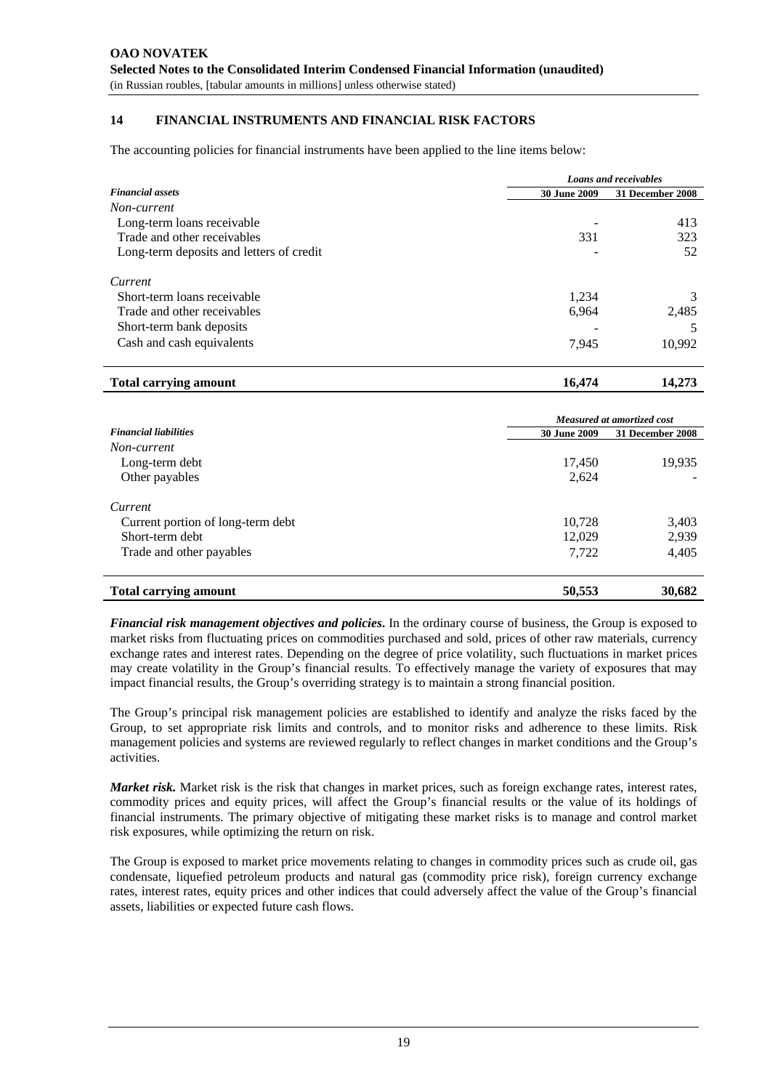# **14 FINANCIAL INSTRUMENTS AND FINANCIAL RISK FACTORS**

The accounting policies for financial instruments have been applied to the line items below:

|                                          | Loans and receivables |                  |  |
|------------------------------------------|-----------------------|------------------|--|
| <b>Financial assets</b>                  | 30 June 2009          | 31 December 2008 |  |
| Non-current                              |                       |                  |  |
| Long-term loans receivable               |                       | 413              |  |
| Trade and other receivables              | 331                   | 323              |  |
| Long-term deposits and letters of credit |                       | 52               |  |
| Current                                  |                       |                  |  |
| Short-term loans receivable              | 1,234                 | 3                |  |
| Trade and other receivables              | 6,964                 | 2,485            |  |
| Short-term bank deposits                 |                       |                  |  |
| Cash and cash equivalents                | 7,945                 | 10,992           |  |
|                                          |                       |                  |  |

**Total carrying amount 16,474** 14,273

|                                   | Measured at amortized cost |                  |  |  |
|-----------------------------------|----------------------------|------------------|--|--|
| <b>Financial liabilities</b>      | <b>30 June 2009</b>        | 31 December 2008 |  |  |
| Non-current                       |                            |                  |  |  |
| Long-term debt                    | 17,450                     | 19,935           |  |  |
| Other payables                    | 2,624                      |                  |  |  |
| Current                           |                            |                  |  |  |
| Current portion of long-term debt | 10,728                     | 3,403            |  |  |
| Short-term debt                   | 12,029                     | 2,939            |  |  |
| Trade and other payables          | 7,722                      | 4,405            |  |  |
| <b>Total carrying amount</b>      | 50,553                     | 30,682           |  |  |

*Financial risk management objectives and policies***.** In the ordinary course of business, the Group is exposed to market risks from fluctuating prices on commodities purchased and sold, prices of other raw materials, currency exchange rates and interest rates. Depending on the degree of price volatility, such fluctuations in market prices may create volatility in the Group's financial results. To effectively manage the variety of exposures that may impact financial results, the Group's overriding strategy is to maintain a strong financial position.

The Group's principal risk management policies are established to identify and analyze the risks faced by the Group, to set appropriate risk limits and controls, and to monitor risks and adherence to these limits. Risk management policies and systems are reviewed regularly to reflect changes in market conditions and the Group's activities.

*Market risk.* Market risk is the risk that changes in market prices, such as foreign exchange rates, interest rates, commodity prices and equity prices, will affect the Group's financial results or the value of its holdings of financial instruments. The primary objective of mitigating these market risks is to manage and control market risk exposures, while optimizing the return on risk.

The Group is exposed to market price movements relating to changes in commodity prices such as crude oil, gas condensate, liquefied petroleum products and natural gas (commodity price risk), foreign currency exchange rates, interest rates, equity prices and other indices that could adversely affect the value of the Group's financial assets, liabilities or expected future cash flows.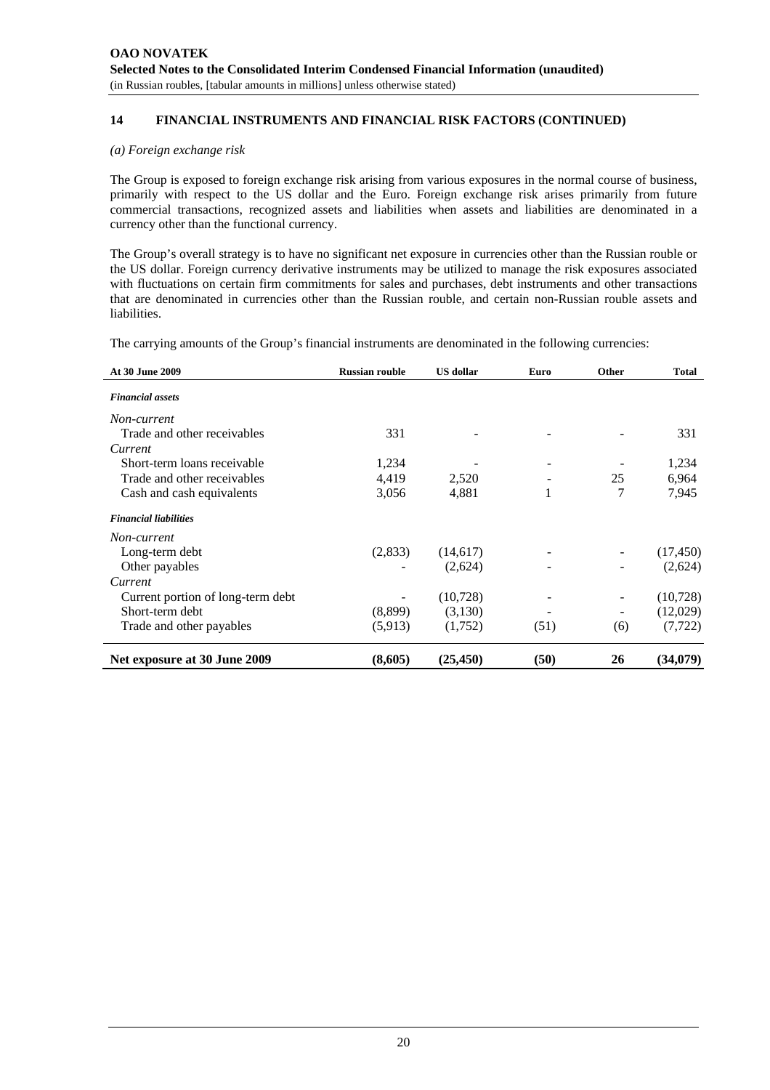#### *(a) Foreign exchange risk*

The Group is exposed to foreign exchange risk arising from various exposures in the normal course of business, primarily with respect to the US dollar and the Euro. Foreign exchange risk arises primarily from future commercial transactions, recognized assets and liabilities when assets and liabilities are denominated in a currency other than the functional currency.

The Group's overall strategy is to have no significant net exposure in currencies other than the Russian rouble or the US dollar. Foreign currency derivative instruments may be utilized to manage the risk exposures associated with fluctuations on certain firm commitments for sales and purchases, debt instruments and other transactions that are denominated in currencies other than the Russian rouble, and certain non-Russian rouble assets and liabilities.

The carrying amounts of the Group's financial instruments are denominated in the following currencies:

| At 30 June 2009                   | <b>Russian rouble</b> | <b>US</b> dollar | Euro                     | Other                    | <b>Total</b> |
|-----------------------------------|-----------------------|------------------|--------------------------|--------------------------|--------------|
| <b>Financial assets</b>           |                       |                  |                          |                          |              |
| Non-current                       |                       |                  |                          |                          |              |
| Trade and other receivables       | 331                   |                  |                          |                          | 331          |
| Current                           |                       |                  |                          |                          |              |
| Short-term loans receivable       | 1,234                 |                  | $\overline{\phantom{a}}$ |                          | 1,234        |
| Trade and other receivables       | 4,419                 | 2,520            |                          | 25                       | 6,964        |
| Cash and cash equivalents         | 3,056                 | 4,881            | 1                        | 7                        | 7,945        |
| <b>Financial liabilities</b>      |                       |                  |                          |                          |              |
| Non-current                       |                       |                  |                          |                          |              |
| Long-term debt                    | (2,833)               | (14,617)         |                          | $\overline{\phantom{a}}$ | (17, 450)    |
| Other payables                    |                       | (2,624)          |                          |                          | (2,624)      |
| Current                           |                       |                  |                          |                          |              |
| Current portion of long-term debt |                       | (10,728)         |                          | -                        | (10,728)     |
| Short-term debt                   | (8,899)               | (3,130)          |                          | -                        | (12,029)     |
| Trade and other payables          | (5,913)               | (1,752)          | (51)                     | (6)                      | (7, 722)     |
| Net exposure at 30 June 2009      | (8,605)               | (25, 450)        | (50)                     | 26                       | (34,079)     |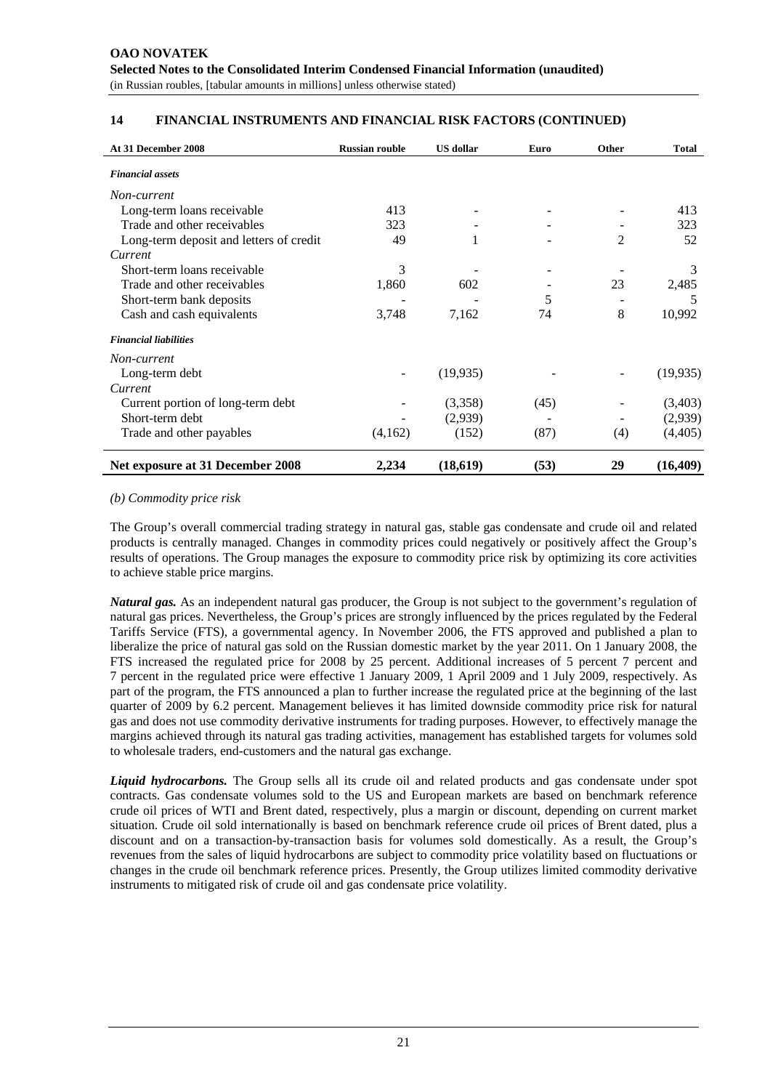| At 31 December 2008                     | <b>Russian rouble</b> | <b>US</b> dollar | Euro | Other | <b>Total</b> |
|-----------------------------------------|-----------------------|------------------|------|-------|--------------|
| <b>Financial assets</b>                 |                       |                  |      |       |              |
| Non-current                             |                       |                  |      |       |              |
| Long-term loans receivable              | 413                   |                  |      |       | 413          |
| Trade and other receivables             | 323                   |                  |      |       | 323          |
| Long-term deposit and letters of credit | 49                    |                  |      | 2     | 52           |
| Current                                 |                       |                  |      |       |              |
| Short-term loans receivable             | 3                     |                  |      |       | 3            |
| Trade and other receivables             | 1,860                 | 602              |      | 23    | 2,485        |
| Short-term bank deposits                |                       |                  | 5    |       | 5            |
| Cash and cash equivalents               | 3,748                 | 7,162            | 74   | 8     | 10,992       |
| <b>Financial liabilities</b>            |                       |                  |      |       |              |
| Non-current                             |                       |                  |      |       |              |
| Long-term debt                          |                       | (19, 935)        |      |       | (19, 935)    |
| Current                                 |                       |                  |      |       |              |
| Current portion of long-term debt       |                       | (3,358)          | (45) |       | (3,403)      |
| Short-term debt                         |                       | (2,939)          |      |       | (2,939)      |
| Trade and other payables                | (4,162)               | (152)            | (87) | (4)   | (4,405)      |
| Net exposure at 31 December 2008        | 2,234                 | (18,619)         | (53) | 29    | (16, 409)    |

#### *(b) Commodity price risk*

The Group's overall commercial trading strategy in natural gas, stable gas condensate and crude oil and related products is centrally managed. Changes in commodity prices could negatively or positively affect the Group's results of operations. The Group manages the exposure to commodity price risk by optimizing its core activities to achieve stable price margins.

*Natural gas.* As an independent natural gas producer, the Group is not subject to the government's regulation of natural gas prices. Nevertheless, the Group's prices are strongly influenced by the prices regulated by the Federal Tariffs Service (FTS), a governmental agency. In November 2006, the FTS approved and published a plan to liberalize the price of natural gas sold on the Russian domestic market by the year 2011. On 1 January 2008, the FTS increased the regulated price for 2008 by 25 percent. Additional increases of 5 percent 7 percent and 7 percent in the regulated price were effective 1 January 2009, 1 April 2009 and 1 July 2009, respectively. As part of the program, the FTS announced a plan to further increase the regulated price at the beginning of the last quarter of 2009 by 6.2 percent. Management believes it has limited downside commodity price risk for natural gas and does not use commodity derivative instruments for trading purposes. However, to effectively manage the margins achieved through its natural gas trading activities, management has established targets for volumes sold to wholesale traders, end-customers and the natural gas exchange.

*Liquid hydrocarbons.* The Group sells all its crude oil and related products and gas condensate under spot contracts. Gas condensate volumes sold to the US and European markets are based on benchmark reference crude oil prices of WTI and Brent dated, respectively, plus a margin or discount, depending on current market situation. Crude oil sold internationally is based on benchmark reference crude oil prices of Brent dated, plus a discount and on a transaction-by-transaction basis for volumes sold domestically. As a result, the Group's revenues from the sales of liquid hydrocarbons are subject to commodity price volatility based on fluctuations or changes in the crude oil benchmark reference prices. Presently, the Group utilizes limited commodity derivative instruments to mitigated risk of crude oil and gas condensate price volatility.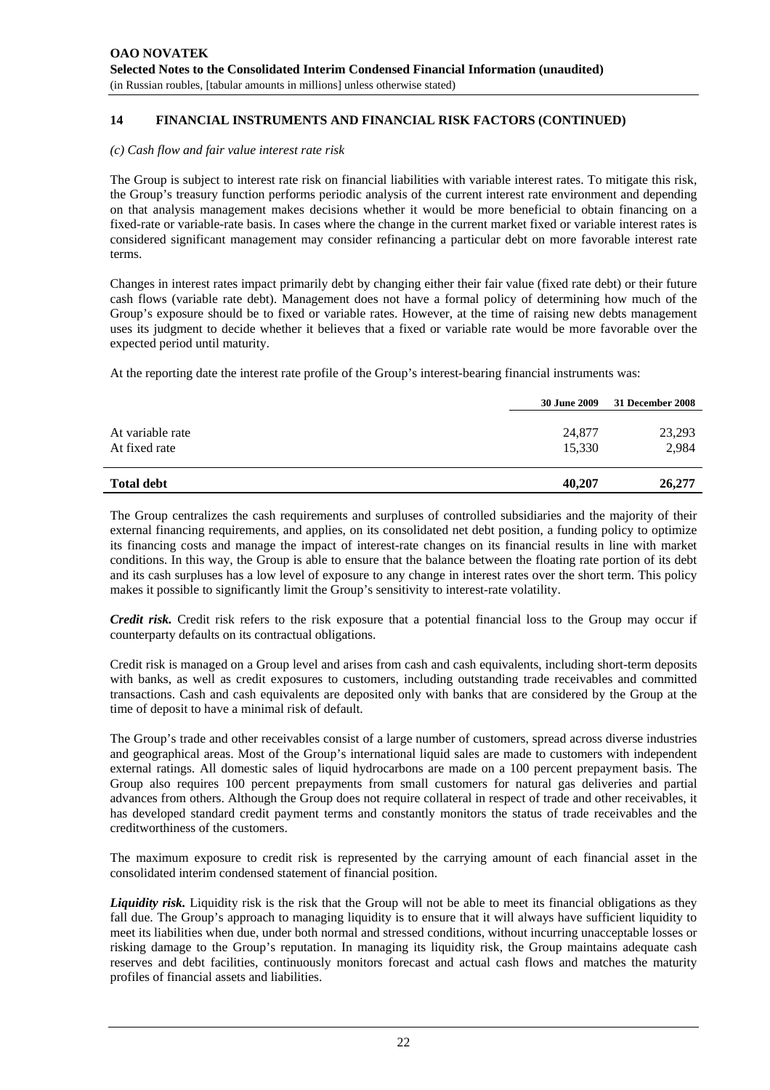#### *(c) Cash flow and fair value interest rate risk*

The Group is subject to interest rate risk on financial liabilities with variable interest rates. To mitigate this risk, the Group's treasury function performs periodic analysis of the current interest rate environment and depending on that analysis management makes decisions whether it would be more beneficial to obtain financing on a fixed-rate or variable-rate basis. In cases where the change in the current market fixed or variable interest rates is considered significant management may consider refinancing a particular debt on more favorable interest rate terms.

Changes in interest rates impact primarily debt by changing either their fair value (fixed rate debt) or their future cash flows (variable rate debt). Management does not have a formal policy of determining how much of the Group's exposure should be to fixed or variable rates. However, at the time of raising new debts management uses its judgment to decide whether it believes that a fixed or variable rate would be more favorable over the expected period until maturity.

At the reporting date the interest rate profile of the Group's interest-bearing financial instruments was:

|                                   | <b>30 June 2009</b> | 31 December 2008 |
|-----------------------------------|---------------------|------------------|
| At variable rate<br>At fixed rate | 24,877<br>15,330    | 23,293<br>2,984  |
| <b>Total debt</b>                 | 40,207              | 26,277           |

The Group centralizes the cash requirements and surpluses of controlled subsidiaries and the majority of their external financing requirements, and applies, on its consolidated net debt position, a funding policy to optimize its financing costs and manage the impact of interest-rate changes on its financial results in line with market conditions. In this way, the Group is able to ensure that the balance between the floating rate portion of its debt and its cash surpluses has a low level of exposure to any change in interest rates over the short term. This policy makes it possible to significantly limit the Group's sensitivity to interest-rate volatility.

*Credit risk.* Credit risk refers to the risk exposure that a potential financial loss to the Group may occur if counterparty defaults on its contractual obligations.

Credit risk is managed on a Group level and arises from cash and cash equivalents, including short-term deposits with banks, as well as credit exposures to customers, including outstanding trade receivables and committed transactions. Cash and cash equivalents are deposited only with banks that are considered by the Group at the time of deposit to have a minimal risk of default.

The Group's trade and other receivables consist of a large number of customers, spread across diverse industries and geographical areas. Most of the Group's international liquid sales are made to customers with independent external ratings. All domestic sales of liquid hydrocarbons are made on a 100 percent prepayment basis. The Group also requires 100 percent prepayments from small customers for natural gas deliveries and partial advances from others. Although the Group does not require collateral in respect of trade and other receivables, it has developed standard credit payment terms and constantly monitors the status of trade receivables and the creditworthiness of the customers.

The maximum exposure to credit risk is represented by the carrying amount of each financial asset in the consolidated interim condensed statement of financial position.

*Liquidity risk.* Liquidity risk is the risk that the Group will not be able to meet its financial obligations as they fall due. The Group's approach to managing liquidity is to ensure that it will always have sufficient liquidity to meet its liabilities when due, under both normal and stressed conditions, without incurring unacceptable losses or risking damage to the Group's reputation. In managing its liquidity risk, the Group maintains adequate cash reserves and debt facilities, continuously monitors forecast and actual cash flows and matches the maturity profiles of financial assets and liabilities.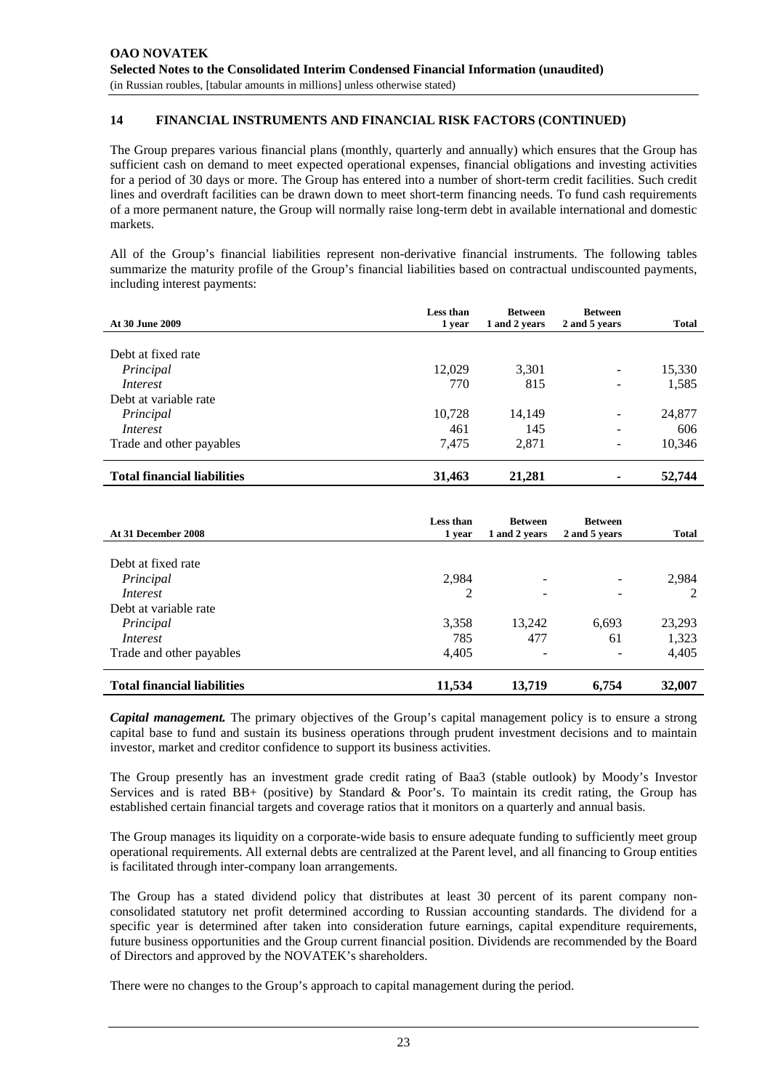The Group prepares various financial plans (monthly, quarterly and annually) which ensures that the Group has sufficient cash on demand to meet expected operational expenses, financial obligations and investing activities for a period of 30 days or more. The Group has entered into a number of short-term credit facilities. Such credit lines and overdraft facilities can be drawn down to meet short-term financing needs. To fund cash requirements of a more permanent nature, the Group will normally raise long-term debt in available international and domestic markets.

All of the Group's financial liabilities represent non-derivative financial instruments. The following tables summarize the maturity profile of the Group's financial liabilities based on contractual undiscounted payments, including interest payments:

| <b>At 30 June 2009</b>             | Less than<br>1 year | <b>Between</b><br>1 and 2 years | <b>Between</b><br>2 and 5 years | <b>Total</b> |
|------------------------------------|---------------------|---------------------------------|---------------------------------|--------------|
|                                    |                     |                                 |                                 |              |
| Debt at fixed rate                 |                     |                                 |                                 |              |
| Principal                          | 12,029              | 3,301                           | $\qquad \qquad \blacksquare$    | 15,330       |
| <i>Interest</i>                    | 770                 | 815                             | $\qquad \qquad -$               | 1,585        |
| Debt at variable rate              |                     |                                 |                                 |              |
| Principal                          | 10,728              | 14,149                          | -                               | 24,877       |
| Interest                           | 461                 | 145                             | -                               | 606          |
| Trade and other payables           | 7.475               | 2,871                           | -                               | 10,346       |
| <b>Total financial liabilities</b> | 31,463              | 21,281                          | ۰                               | 52,744       |

| At 31 December 2008                | Less than<br>1 year | <b>Between</b><br>1 and 2 years | <b>Between</b><br>2 and 5 years | <b>Total</b> |
|------------------------------------|---------------------|---------------------------------|---------------------------------|--------------|
|                                    |                     |                                 |                                 |              |
| Debt at fixed rate                 |                     |                                 |                                 |              |
| Principal                          | 2,984               | $\qquad \qquad \blacksquare$    |                                 | 2,984        |
| Interest                           | 2                   |                                 |                                 |              |
| Debt at variable rate              |                     |                                 |                                 |              |
| Principal                          | 3,358               | 13,242                          | 6,693                           | 23,293       |
| <i>Interest</i>                    | 785                 | 477                             | 61                              | 1,323        |
| Trade and other payables           | 4,405               | $\qquad \qquad \blacksquare$    | $\overline{\phantom{0}}$        | 4,405        |
| <b>Total financial liabilities</b> | 11,534              | 13,719                          | 6,754                           | 32,007       |

*Capital management.* The primary objectives of the Group's capital management policy is to ensure a strong capital base to fund and sustain its business operations through prudent investment decisions and to maintain investor, market and creditor confidence to support its business activities.

The Group presently has an investment grade credit rating of Baa3 (stable outlook) by Moody's Investor Services and is rated BB+ (positive) by Standard & Poor's. To maintain its credit rating, the Group has established certain financial targets and coverage ratios that it monitors on a quarterly and annual basis.

The Group manages its liquidity on a corporate-wide basis to ensure adequate funding to sufficiently meet group operational requirements. All external debts are centralized at the Parent level, and all financing to Group entities is facilitated through inter-company loan arrangements.

The Group has a stated dividend policy that distributes at least 30 percent of its parent company nonconsolidated statutory net profit determined according to Russian accounting standards. The dividend for a specific year is determined after taken into consideration future earnings, capital expenditure requirements, future business opportunities and the Group current financial position. Dividends are recommended by the Board of Directors and approved by the NOVATEK's shareholders.

There were no changes to the Group's approach to capital management during the period.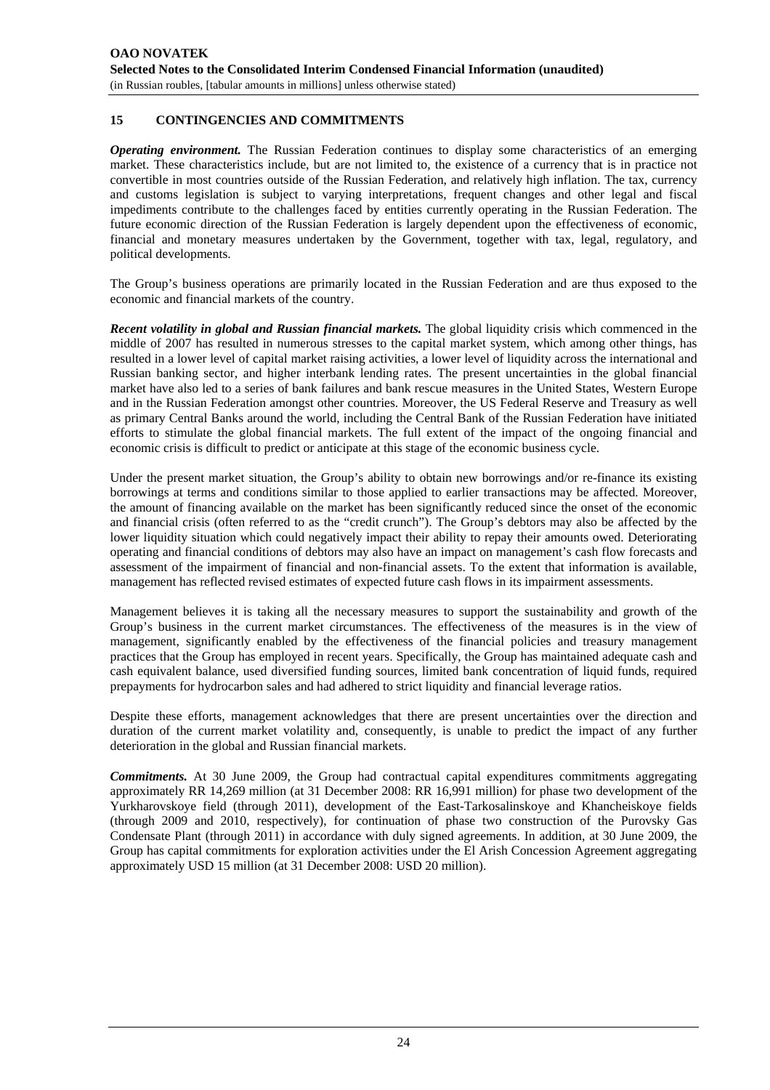# **15 CONTINGENCIES AND COMMITMENTS**

*Operating environment.* The Russian Federation continues to display some characteristics of an emerging market. These characteristics include, but are not limited to, the existence of a currency that is in practice not convertible in most countries outside of the Russian Federation, and relatively high inflation. The tax, currency and customs legislation is subject to varying interpretations, frequent changes and other legal and fiscal impediments contribute to the challenges faced by entities currently operating in the Russian Federation. The future economic direction of the Russian Federation is largely dependent upon the effectiveness of economic, financial and monetary measures undertaken by the Government, together with tax, legal, regulatory, and political developments.

The Group's business operations are primarily located in the Russian Federation and are thus exposed to the economic and financial markets of the country.

*Recent volatility in global and Russian financial markets.* The global liquidity crisis which commenced in the middle of 2007 has resulted in numerous stresses to the capital market system, which among other things, has resulted in a lower level of capital market raising activities, a lower level of liquidity across the international and Russian banking sector, and higher interbank lending rates. The present uncertainties in the global financial market have also led to a series of bank failures and bank rescue measures in the United States, Western Europe and in the Russian Federation amongst other countries. Moreover, the US Federal Reserve and Treasury as well as primary Central Banks around the world, including the Central Bank of the Russian Federation have initiated efforts to stimulate the global financial markets. The full extent of the impact of the ongoing financial and economic crisis is difficult to predict or anticipate at this stage of the economic business cycle.

Under the present market situation, the Group's ability to obtain new borrowings and/or re-finance its existing borrowings at terms and conditions similar to those applied to earlier transactions may be affected. Moreover, the amount of financing available on the market has been significantly reduced since the onset of the economic and financial crisis (often referred to as the "credit crunch"). The Group's debtors may also be affected by the lower liquidity situation which could negatively impact their ability to repay their amounts owed. Deteriorating operating and financial conditions of debtors may also have an impact on management's cash flow forecasts and assessment of the impairment of financial and non-financial assets. To the extent that information is available, management has reflected revised estimates of expected future cash flows in its impairment assessments.

Management believes it is taking all the necessary measures to support the sustainability and growth of the Group's business in the current market circumstances. The effectiveness of the measures is in the view of management, significantly enabled by the effectiveness of the financial policies and treasury management practices that the Group has employed in recent years. Specifically, the Group has maintained adequate cash and cash equivalent balance, used diversified funding sources, limited bank concentration of liquid funds, required prepayments for hydrocarbon sales and had adhered to strict liquidity and financial leverage ratios.

Despite these efforts, management acknowledges that there are present uncertainties over the direction and duration of the current market volatility and, consequently, is unable to predict the impact of any further deterioration in the global and Russian financial markets.

*Commitments.* At 30 June 2009, the Group had contractual capital expenditures commitments aggregating approximately RR 14,269 million (at 31 December 2008: RR 16,991 million) for phase two development of the Yurkharovskoye field (through 2011), development of the East-Tarkosalinskoye and Khancheiskoye fields (through 2009 and 2010, respectively), for continuation of phase two construction of the Purovsky Gas Condensate Plant (through 2011) in accordance with duly signed agreements. In addition, at 30 June 2009, the Group has capital commitments for exploration activities under the El Arish Concession Agreement aggregating approximately USD 15 million (at 31 December 2008: USD 20 million).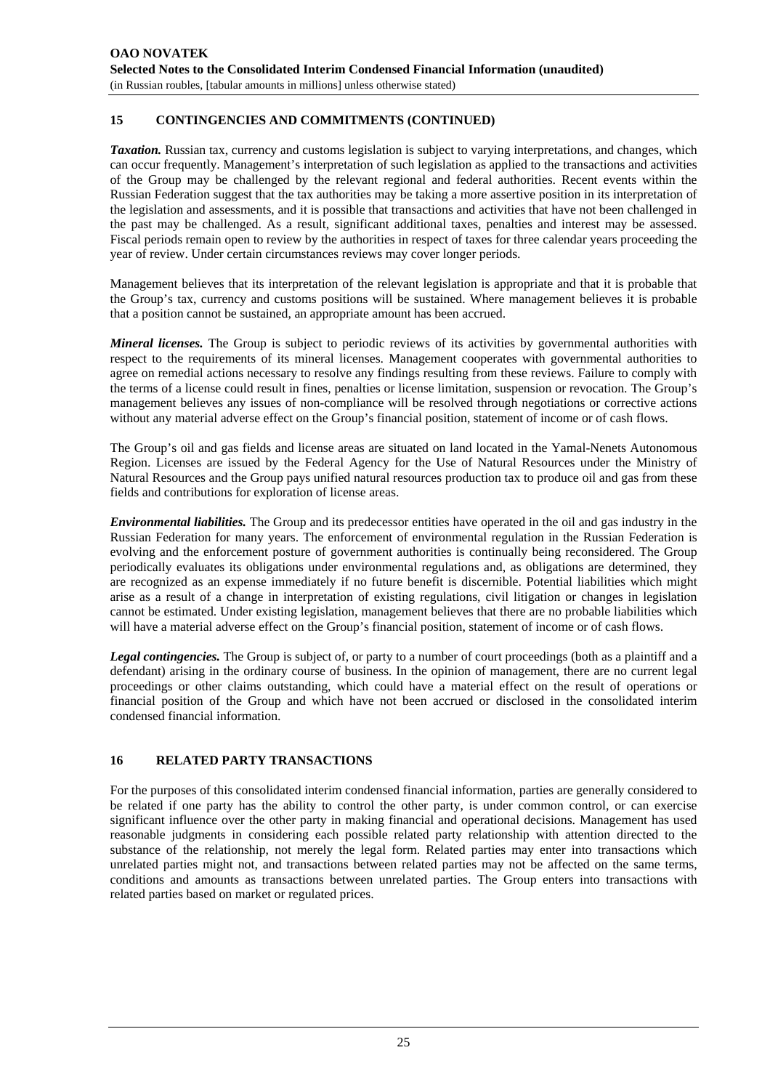# **15 CONTINGENCIES AND COMMITMENTS (CONTINUED)**

*Taxation.* Russian tax, currency and customs legislation is subject to varying interpretations, and changes, which can occur frequently. Management's interpretation of such legislation as applied to the transactions and activities of the Group may be challenged by the relevant regional and federal authorities. Recent events within the Russian Federation suggest that the tax authorities may be taking a more assertive position in its interpretation of the legislation and assessments, and it is possible that transactions and activities that have not been challenged in the past may be challenged. As a result, significant additional taxes, penalties and interest may be assessed. Fiscal periods remain open to review by the authorities in respect of taxes for three calendar years proceeding the year of review. Under certain circumstances reviews may cover longer periods.

Management believes that its interpretation of the relevant legislation is appropriate and that it is probable that the Group's tax, currency and customs positions will be sustained. Where management believes it is probable that a position cannot be sustained, an appropriate amount has been accrued.

*Mineral licenses*. The Group is subject to periodic reviews of its activities by governmental authorities with respect to the requirements of its mineral licenses. Management cooperates with governmental authorities to agree on remedial actions necessary to resolve any findings resulting from these reviews. Failure to comply with the terms of a license could result in fines, penalties or license limitation, suspension or revocation. The Group's management believes any issues of non-compliance will be resolved through negotiations or corrective actions without any material adverse effect on the Group's financial position, statement of income or of cash flows.

The Group's oil and gas fields and license areas are situated on land located in the Yamal-Nenets Autonomous Region. Licenses are issued by the Federal Agency for the Use of Natural Resources under the Ministry of Natural Resources and the Group pays unified natural resources production tax to produce oil and gas from these fields and contributions for exploration of license areas.

*Environmental liabilities.* The Group and its predecessor entities have operated in the oil and gas industry in the Russian Federation for many years. The enforcement of environmental regulation in the Russian Federation is evolving and the enforcement posture of government authorities is continually being reconsidered. The Group periodically evaluates its obligations under environmental regulations and, as obligations are determined, they are recognized as an expense immediately if no future benefit is discernible. Potential liabilities which might arise as a result of a change in interpretation of existing regulations, civil litigation or changes in legislation cannot be estimated. Under existing legislation, management believes that there are no probable liabilities which will have a material adverse effect on the Group's financial position, statement of income or of cash flows.

*Legal contingencies.* The Group is subject of, or party to a number of court proceedings (both as a plaintiff and a defendant) arising in the ordinary course of business. In the opinion of management, there are no current legal proceedings or other claims outstanding, which could have a material effect on the result of operations or financial position of the Group and which have not been accrued or disclosed in the consolidated interim condensed financial information.

# **16 RELATED PARTY TRANSACTIONS**

For the purposes of this consolidated interim condensed financial information, parties are generally considered to be related if one party has the ability to control the other party, is under common control, or can exercise significant influence over the other party in making financial and operational decisions. Management has used reasonable judgments in considering each possible related party relationship with attention directed to the substance of the relationship, not merely the legal form. Related parties may enter into transactions which unrelated parties might not, and transactions between related parties may not be affected on the same terms, conditions and amounts as transactions between unrelated parties. The Group enters into transactions with related parties based on market or regulated prices.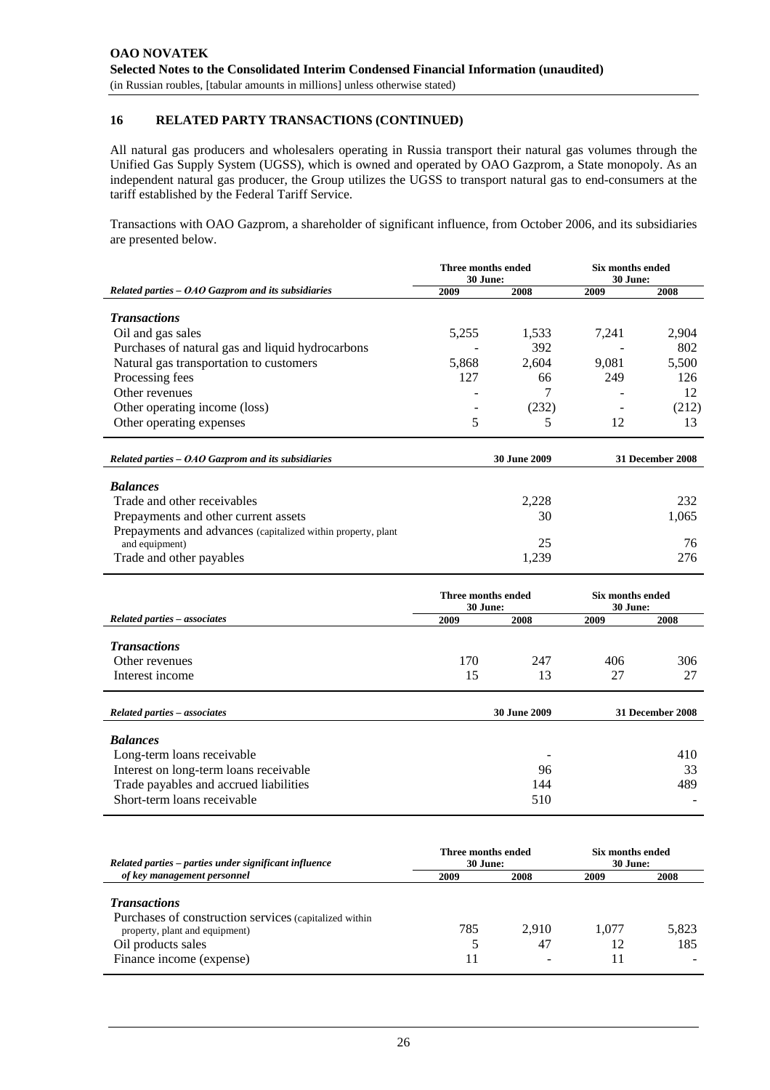# **16 RELATED PARTY TRANSACTIONS (CONTINUED)**

All natural gas producers and wholesalers operating in Russia transport their natural gas volumes through the Unified Gas Supply System (UGSS), which is owned and operated by OAO Gazprom, a State monopoly. As an independent natural gas producer, the Group utilizes the UGSS to transport natural gas to end-consumers at the tariff established by the Federal Tariff Service.

Transactions with OAO Gazprom, a shareholder of significant influence, from October 2006, and its subsidiaries are presented below.

|                                                              | Three months ended<br>30 June: |                     | Six months ended<br>30 June: |                  |  |
|--------------------------------------------------------------|--------------------------------|---------------------|------------------------------|------------------|--|
| Related parties - OAO Gazprom and its subsidiaries           | 2009                           | 2008                | 2009                         | 2008             |  |
|                                                              |                                |                     |                              |                  |  |
| <b>Transactions</b>                                          |                                |                     |                              |                  |  |
| Oil and gas sales                                            | 5,255                          | 1,533               | 7,241                        | 2,904            |  |
| Purchases of natural gas and liquid hydrocarbons             | 5,868                          | 392<br>2,604        | 9,081                        | 802<br>5,500     |  |
| Natural gas transportation to customers<br>Processing fees   | 127                            | 66                  | 249                          | 126              |  |
| Other revenues                                               |                                | 7                   |                              |                  |  |
| Other operating income (loss)                                |                                | (232)               |                              | 12<br>(212)      |  |
| Other operating expenses                                     | 5                              | 5                   | 12                           | 13               |  |
|                                                              |                                |                     |                              |                  |  |
| Related parties - OAO Gazprom and its subsidiaries           |                                | <b>30 June 2009</b> |                              | 31 December 2008 |  |
| <b>Balances</b>                                              |                                |                     |                              |                  |  |
| Trade and other receivables                                  |                                | 2,228               |                              | 232              |  |
| Prepayments and other current assets                         |                                | 30                  |                              | 1,065            |  |
| Prepayments and advances (capitalized within property, plant |                                |                     |                              |                  |  |
| and equipment)                                               |                                | 25                  |                              | 76               |  |
| Trade and other payables                                     |                                | 1,239               |                              | 276              |  |
|                                                              |                                |                     |                              |                  |  |
|                                                              | Three months ended             |                     | Six months ended             |                  |  |
|                                                              | 30 June:                       |                     | 30 June:                     |                  |  |
| <b>Related parties - associates</b>                          | 2009                           | 2008                | 2009                         | 2008             |  |
| <b>Transactions</b>                                          |                                |                     |                              |                  |  |
| Other revenues                                               | 170                            | 247                 | 406                          | 306              |  |
| Interest income                                              | 15                             | 13                  | 27                           | 27               |  |
|                                                              |                                |                     |                              |                  |  |
| Related parties - associates                                 |                                | 30 June 2009        |                              | 31 December 2008 |  |
|                                                              |                                |                     |                              |                  |  |
| <b>Balances</b>                                              |                                |                     |                              |                  |  |
| Long-term loans receivable                                   |                                |                     |                              | 410              |  |
| Interest on long-term loans receivable                       |                                | 96                  |                              | 33               |  |
| Trade payables and accrued liabilities                       |                                | 144                 |                              | 489              |  |
| Short-term loans receivable                                  |                                | 510                 |                              |                  |  |
|                                                              |                                |                     |                              |                  |  |
|                                                              | Three months ended             |                     | Six months ended             |                  |  |
| Related parties - parties under significant influence        | 30 June:                       |                     | 30 June:                     |                  |  |
| of key management personnel                                  | 2009                           | 2008                | 2009                         | 2008             |  |
| <b>Transactions</b>                                          |                                |                     |                              |                  |  |
| Purchases of construction services (capitalized within       |                                |                     |                              |                  |  |
| property, plant and equipment)                               | 785                            | 2,910               | 1,077                        | 5,823            |  |
| Oil products sales                                           | 5                              | 47                  | 12                           | 185              |  |
| Finance income (expense)                                     | 11                             |                     | 11                           |                  |  |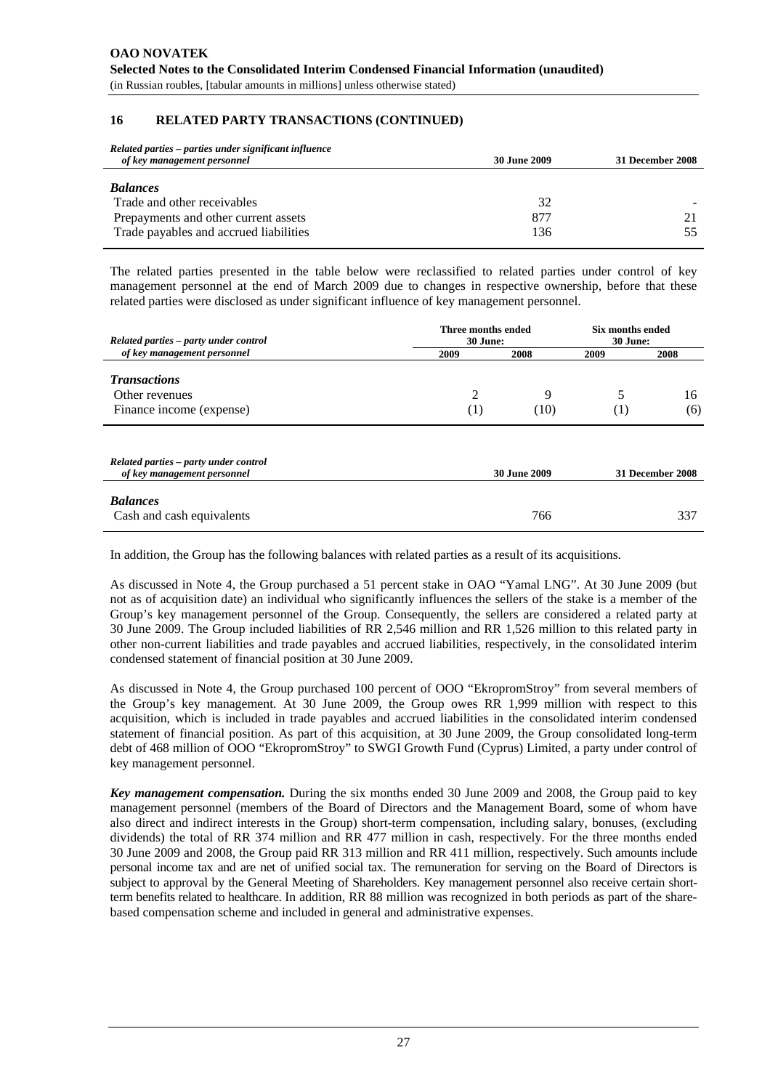#### **16 RELATED PARTY TRANSACTIONS (CONTINUED)**

| Related parties – parties under significant influence |                     |                  |
|-------------------------------------------------------|---------------------|------------------|
| of key management personnel                           | <b>30 June 2009</b> | 31 December 2008 |
|                                                       |                     |                  |
| <b>Balances</b>                                       |                     |                  |
| Trade and other receivables                           | 32                  |                  |
| Prepayments and other current assets                  | 877                 |                  |
| Trade payables and accrued liabilities                | 136                 |                  |

The related parties presented in the table below were reclassified to related parties under control of key management personnel at the end of March 2009 due to changes in respective ownership, before that these related parties were disclosed as under significant influence of key management personnel.

| Related parties – party under control        | Three months ended<br>30 June: |                     |                  | <b>Six months ended</b><br>30 June: |  |
|----------------------------------------------|--------------------------------|---------------------|------------------|-------------------------------------|--|
| of key management personnel                  | 2009                           | 2008                | 2009             | 2008                                |  |
| <b>Transactions</b><br>Other revenues        | 2                              | 9                   | 5                | 16                                  |  |
| Finance income (expense)                     | (1)                            | (10)                | $\left(1\right)$ | (6)                                 |  |
| Related parties – party under control        |                                |                     |                  |                                     |  |
| of key management personnel                  |                                | <b>30 June 2009</b> |                  | 31 December 2008                    |  |
| <b>Balances</b><br>Cash and cash equivalents |                                | 766                 |                  | 337                                 |  |

In addition, the Group has the following balances with related parties as a result of its acquisitions.

As discussed in Note 4, the Group purchased a 51 percent stake in OAO "Yamal LNG". At 30 June 2009 (but not as of acquisition date) an individual who significantly influences the sellers of the stake is a member of the Group's key management personnel of the Group. Consequently, the sellers are considered a related party at 30 June 2009. The Group included liabilities of RR 2,546 million and RR 1,526 million to this related party in other non-current liabilities and trade payables and accrued liabilities, respectively, in the consolidated interim condensed statement of financial position at 30 June 2009.

As discussed in Note 4, the Group purchased 100 percent of OOO "EkropromStroy" from several members of the Group's key management. At 30 June 2009, the Group owes RR 1,999 million with respect to this acquisition, which is included in trade payables and accrued liabilities in the consolidated interim condensed statement of financial position. As part of this acquisition, at 30 June 2009, the Group consolidated long-term debt of 468 million of OOO "EkropromStroy" to SWGI Growth Fund (Cyprus) Limited, a party under control of key management personnel.

*Key management compensation.* During the six months ended 30 June 2009 and 2008, the Group paid to key management personnel (members of the Board of Directors and the Management Board, some of whom have also direct and indirect interests in the Group) short-term compensation, including salary, bonuses, (excluding dividends) the total of RR 374 million and RR 477 million in cash, respectively. For the three months ended 30 June 2009 and 2008, the Group paid RR 313 million and RR 411 million, respectively. Such amounts include personal income tax and are net of unified social tax. The remuneration for serving on the Board of Directors is subject to approval by the General Meeting of Shareholders. Key management personnel also receive certain shortterm benefits related to healthcare. In addition, RR 88 million was recognized in both periods as part of the sharebased compensation scheme and included in general and administrative expenses.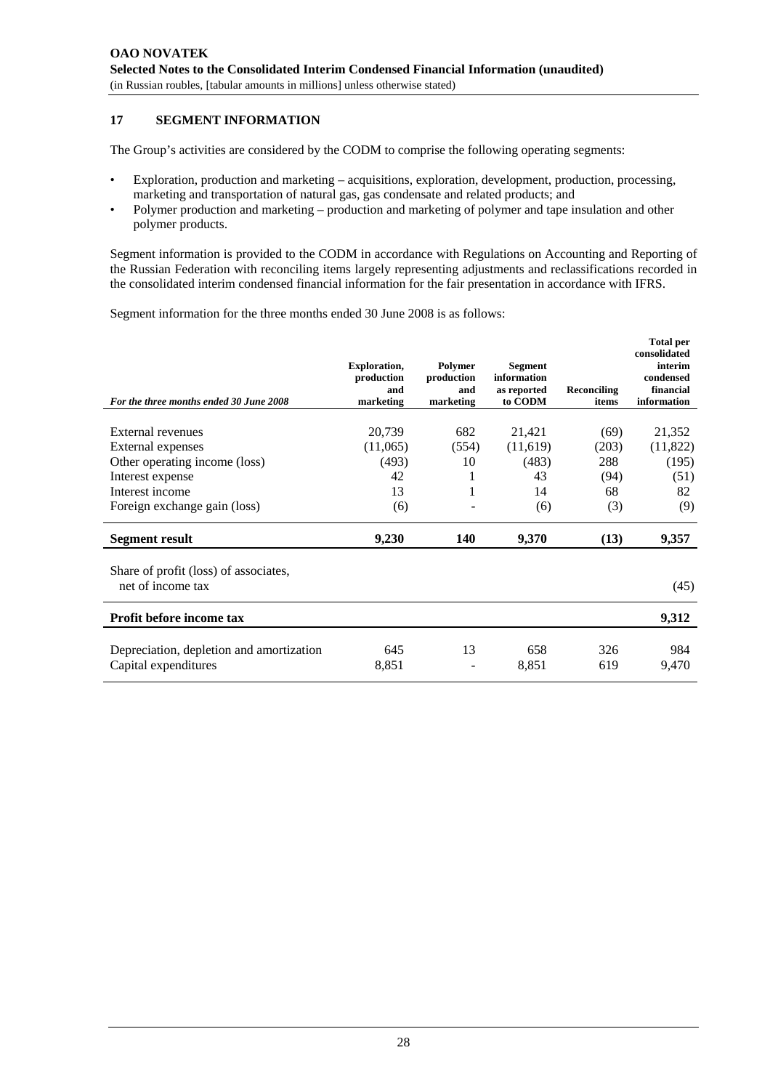# **17 SEGMENT INFORMATION**

The Group's activities are considered by the CODM to comprise the following operating segments:

- Exploration, production and marketing acquisitions, exploration, development, production, processing, marketing and transportation of natural gas, gas condensate and related products; and
- Polymer production and marketing production and marketing of polymer and tape insulation and other polymer products.

Segment information is provided to the CODM in accordance with Regulations on Accounting and Reporting of the Russian Federation with reconciling items largely representing adjustments and reclassifications recorded in the consolidated interim condensed financial information for the fair presentation in accordance with IFRS.

Segment information for the three months ended 30 June 2008 is as follows:

| For the three months ended 30 June 2008                          | <b>Exploration,</b><br>production<br>and<br>marketing | Polymer<br>production<br>and<br>marketing | <b>Segment</b><br>information<br>as reported<br>to CODM | Reconciling<br>items | <b>Total per</b><br>consolidated<br>interim<br>condensed<br>financial<br>information |
|------------------------------------------------------------------|-------------------------------------------------------|-------------------------------------------|---------------------------------------------------------|----------------------|--------------------------------------------------------------------------------------|
|                                                                  |                                                       |                                           |                                                         |                      |                                                                                      |
| External revenues                                                | 20,739                                                | 682                                       | 21,421                                                  | (69)                 | 21,352                                                                               |
| External expenses                                                | (11,065)                                              | (554)                                     | (11,619)                                                | (203)                | (11,822)                                                                             |
| Other operating income (loss)                                    | (493)                                                 | 10                                        | (483)                                                   | 288                  | (195)                                                                                |
| Interest expense                                                 | 42                                                    | 1                                         | 43                                                      | (94)                 | (51)                                                                                 |
| Interest income                                                  | 13                                                    | 1                                         | 14                                                      | 68                   | 82                                                                                   |
| Foreign exchange gain (loss)                                     | (6)                                                   |                                           | (6)                                                     | (3)                  | (9)                                                                                  |
| Segment result                                                   | 9,230                                                 | 140                                       | 9,370                                                   | (13)                 | 9,357                                                                                |
| Share of profit (loss) of associates,<br>net of income tax       |                                                       |                                           |                                                         |                      | (45)                                                                                 |
|                                                                  |                                                       |                                           |                                                         |                      |                                                                                      |
| <b>Profit before income tax</b>                                  |                                                       |                                           |                                                         |                      | 9,312                                                                                |
| Depreciation, depletion and amortization<br>Capital expenditures | 645<br>8,851                                          | 13                                        | 658<br>8,851                                            | 326<br>619           | 984<br>9,470                                                                         |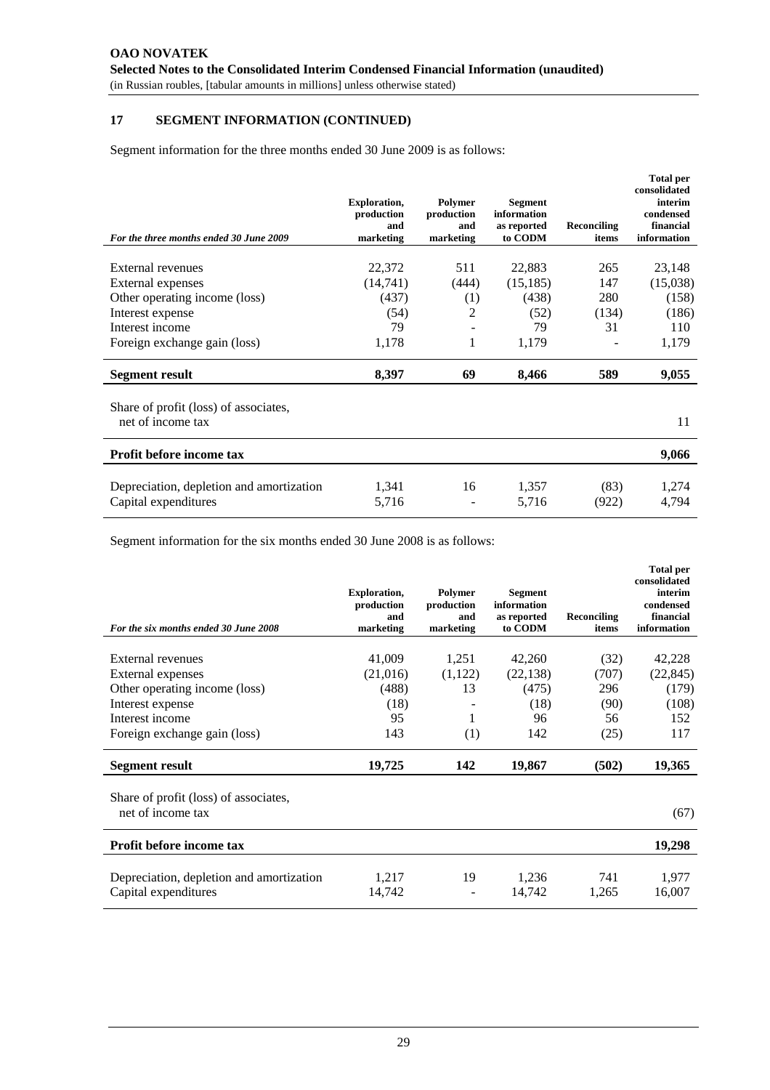# **17 SEGMENT INFORMATION (CONTINUED)**

Segment information for the three months ended 30 June 2009 is as follows:

| For the three months ended 30 June 2009                          | <b>Exploration,</b><br>production<br>and<br>marketing | Polymer<br>production<br>and<br>marketing | <b>Segment</b><br>information<br>as reported<br>to CODM | Reconciling<br>items | <b>Total per</b><br>consolidated<br>interim<br>condensed<br>financial<br>information |
|------------------------------------------------------------------|-------------------------------------------------------|-------------------------------------------|---------------------------------------------------------|----------------------|--------------------------------------------------------------------------------------|
|                                                                  |                                                       |                                           |                                                         |                      |                                                                                      |
| External revenues                                                | 22,372                                                | 511                                       | 22,883                                                  | 265                  | 23,148                                                                               |
| External expenses                                                | (14,741)                                              | (444)                                     | (15, 185)                                               | 147                  | (15,038)                                                                             |
| Other operating income (loss)                                    | (437)                                                 | (1)                                       | (438)                                                   | 280                  | (158)                                                                                |
| Interest expense                                                 | (54)                                                  | 2                                         | (52)                                                    | (134)                | (186)                                                                                |
| Interest income                                                  | 79                                                    |                                           | 79                                                      | 31                   | 110                                                                                  |
| Foreign exchange gain (loss)                                     | 1,178                                                 | 1                                         | 1,179                                                   |                      | 1,179                                                                                |
| Segment result                                                   | 8,397                                                 | 69                                        | 8,466                                                   | 589                  | 9,055                                                                                |
| Share of profit (loss) of associates,<br>net of income tax       |                                                       |                                           |                                                         |                      | 11                                                                                   |
| Profit before income tax                                         |                                                       |                                           |                                                         |                      | 9,066                                                                                |
| Depreciation, depletion and amortization<br>Capital expenditures | 1,341<br>5,716                                        | 16                                        | 1,357<br>5,716                                          | (83)<br>(922)        | 1,274<br>4,794                                                                       |

Segment information for the six months ended 30 June 2008 is as follows:

| For the six months ended 30 June 2008                            | <b>Exploration,</b><br>production<br>and<br>marketing | Polymer<br>production<br>and<br>marketing | <b>Segment</b><br>information<br>as reported<br>to CODM | Reconciling<br>items | <b>Total per</b><br>consolidated<br>interim<br>condensed<br>financial<br>information |
|------------------------------------------------------------------|-------------------------------------------------------|-------------------------------------------|---------------------------------------------------------|----------------------|--------------------------------------------------------------------------------------|
|                                                                  |                                                       |                                           |                                                         |                      |                                                                                      |
| External revenues                                                | 41,009                                                | 1,251                                     | 42,260                                                  | (32)                 | 42,228                                                                               |
| External expenses                                                | (21,016)                                              | (1,122)                                   | (22, 138)                                               | (707)                | (22, 845)                                                                            |
| Other operating income (loss)                                    | (488)                                                 | 13                                        | (475)                                                   | 296                  | (179)                                                                                |
| Interest expense                                                 | (18)                                                  |                                           | (18)                                                    | (90)                 | (108)                                                                                |
| Interest income                                                  | 95                                                    | 1                                         | 96                                                      | 56                   | 152                                                                                  |
| Foreign exchange gain (loss)                                     | 143                                                   | (1)                                       | 142                                                     | (25)                 | 117                                                                                  |
| <b>Segment result</b>                                            | 19,725                                                | 142                                       | 19,867                                                  | (502)                | 19,365                                                                               |
| Share of profit (loss) of associates,<br>net of income tax       |                                                       |                                           |                                                         |                      | (67)                                                                                 |
| Profit before income tax                                         |                                                       |                                           |                                                         |                      | 19,298                                                                               |
| Depreciation, depletion and amortization<br>Capital expenditures | 1,217<br>14,742                                       | 19                                        | 1,236<br>14,742                                         | 741<br>1,265         | 1,977<br>16,007                                                                      |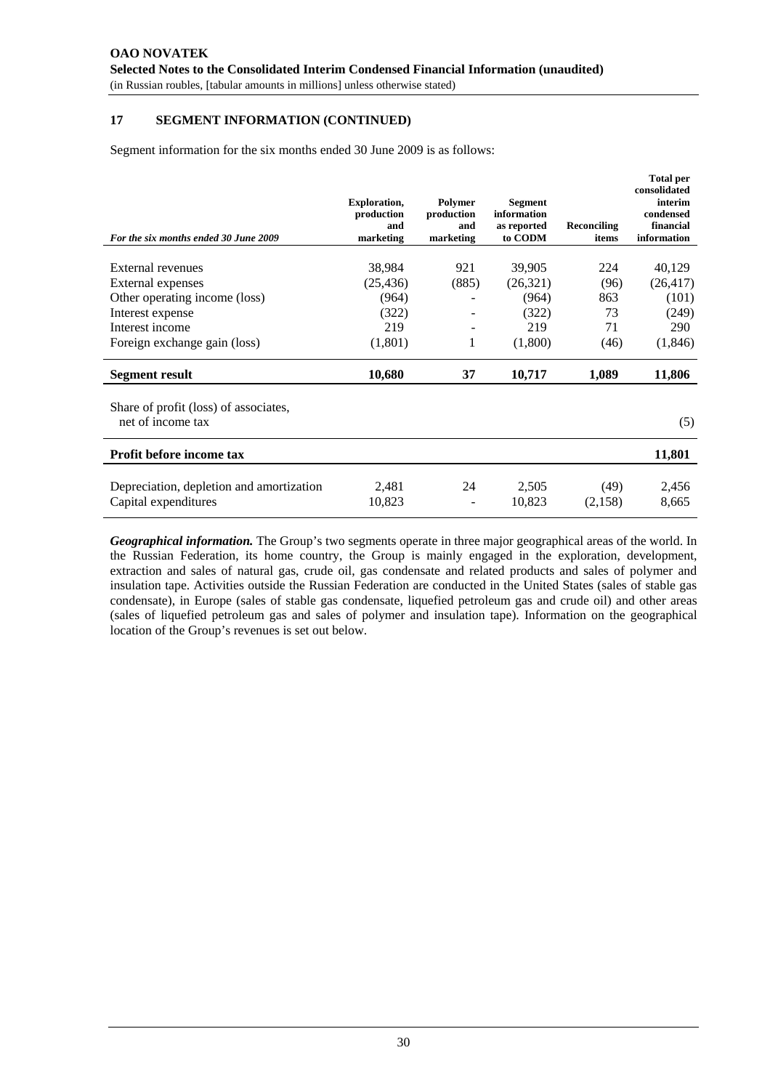# **17 SEGMENT INFORMATION (CONTINUED)**

Segment information for the six months ended 30 June 2009 is as follows:

| For the six months ended 30 June 2009                            | <b>Exploration,</b><br>production<br>and<br>marketing | Polymer<br>production<br>and<br>marketing | <b>Segment</b><br>information<br>as reported<br>to CODM | Reconciling<br>items | <b>Total per</b><br>consolidated<br>interim<br>condensed<br>financial<br>information |
|------------------------------------------------------------------|-------------------------------------------------------|-------------------------------------------|---------------------------------------------------------|----------------------|--------------------------------------------------------------------------------------|
|                                                                  |                                                       |                                           |                                                         |                      |                                                                                      |
| External revenues                                                | 38,984                                                | 921                                       | 39,905                                                  | 224                  | 40,129                                                                               |
| External expenses                                                | (25, 436)                                             | (885)                                     | (26,321)                                                | (96)                 | (26, 417)                                                                            |
| Other operating income (loss)                                    | (964)                                                 |                                           | (964)                                                   | 863                  | (101)                                                                                |
| Interest expense                                                 | (322)                                                 |                                           | (322)                                                   | 73                   | (249)                                                                                |
| Interest income                                                  | 219                                                   |                                           | 219                                                     | 71                   | 290                                                                                  |
| Foreign exchange gain (loss)                                     | (1,801)                                               | 1                                         | (1,800)                                                 | (46)                 | (1,846)                                                                              |
| <b>Segment result</b>                                            | 10,680                                                | 37                                        | 10,717                                                  | 1,089                | 11,806                                                                               |
| Share of profit (loss) of associates,<br>net of income tax       |                                                       |                                           |                                                         |                      | (5)                                                                                  |
| Profit before income tax                                         |                                                       |                                           |                                                         |                      | 11,801                                                                               |
| Depreciation, depletion and amortization<br>Capital expenditures | 2,481<br>10,823                                       | 24                                        | 2,505<br>10,823                                         | (49)<br>(2,158)      | 2,456<br>8,665                                                                       |
|                                                                  |                                                       |                                           |                                                         |                      |                                                                                      |

*Geographical information.* The Group's two segments operate in three major geographical areas of the world. In the Russian Federation, its home country, the Group is mainly engaged in the exploration, development, extraction and sales of natural gas, crude oil, gas condensate and related products and sales of polymer and insulation tape. Activities outside the Russian Federation are conducted in the United States (sales of stable gas condensate), in Europe (sales of stable gas condensate, liquefied petroleum gas and crude oil) and other areas (sales of liquefied petroleum gas and sales of polymer and insulation tape). Information on the geographical location of the Group's revenues is set out below.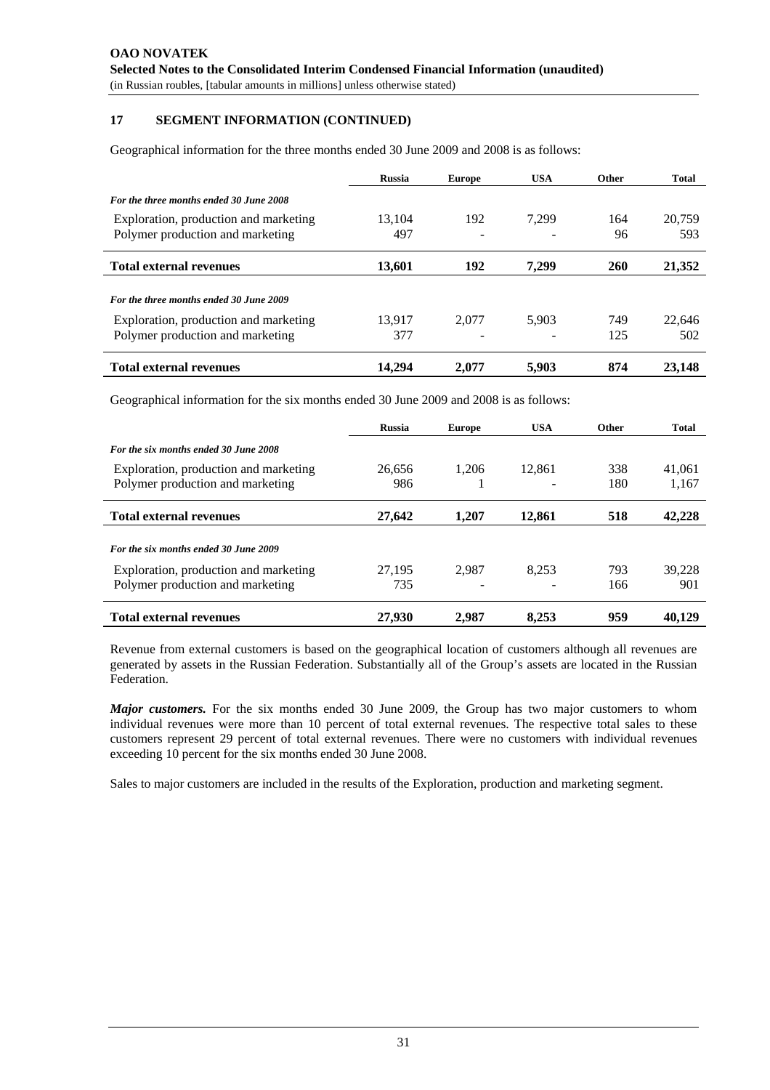## **17 SEGMENT INFORMATION (CONTINUED)**

Geographical information for the three months ended 30 June 2009 and 2008 is as follows:

|                                                                           | <b>Russia</b> | <b>Europe</b> | <b>USA</b> | <b>Other</b> | Total         |
|---------------------------------------------------------------------------|---------------|---------------|------------|--------------|---------------|
| For the three months ended 30 June 2008                                   |               |               |            |              |               |
| Exploration, production and marketing<br>Polymer production and marketing | 13.104<br>497 | 192           | 7.299      | 164<br>96    | 20.759<br>593 |
| <b>Total external revenues</b>                                            | 13,601        | 192           | 7.299      | 260          | 21,352        |
| For the three months ended 30 June 2009                                   |               |               |            |              |               |
| Exploration, production and marketing<br>Polymer production and marketing | 13.917<br>377 | 2.077         | 5.903      | 749<br>125   | 22,646<br>502 |
| <b>Total external revenues</b>                                            | 14.294        | 2.077         | 5.903      | 874          | 23,148        |

Geographical information for the six months ended 30 June 2009 and 2008 is as follows:

|                                       | <b>Russia</b> | <b>Europe</b> | <b>USA</b> | Other | Total  |
|---------------------------------------|---------------|---------------|------------|-------|--------|
| For the six months ended 30 June 2008 |               |               |            |       |        |
| Exploration, production and marketing | 26.656        | 1.206         | 12.861     | 338   | 41.061 |
| Polymer production and marketing      | 986           |               |            | 180   | 1,167  |
| <b>Total external revenues</b>        | 27,642        | 1.207         | 12.861     | 518   | 42,228 |
| For the six months ended 30 June 2009 |               |               |            |       |        |
| Exploration, production and marketing | 27.195        | 2.987         | 8.253      | 793   | 39.228 |
| Polymer production and marketing      | 735           |               |            | 166   | 901    |
| <b>Total external revenues</b>        | 27,930        | 2.987         | 8.253      | 959   | 40.129 |

Revenue from external customers is based on the geographical location of customers although all revenues are generated by assets in the Russian Federation. Substantially all of the Group's assets are located in the Russian Federation.

*Major customers*. For the six months ended 30 June 2009, the Group has two major customers to whom individual revenues were more than 10 percent of total external revenues. The respective total sales to these customers represent 29 percent of total external revenues. There were no customers with individual revenues exceeding 10 percent for the six months ended 30 June 2008.

Sales to major customers are included in the results of the Exploration, production and marketing segment.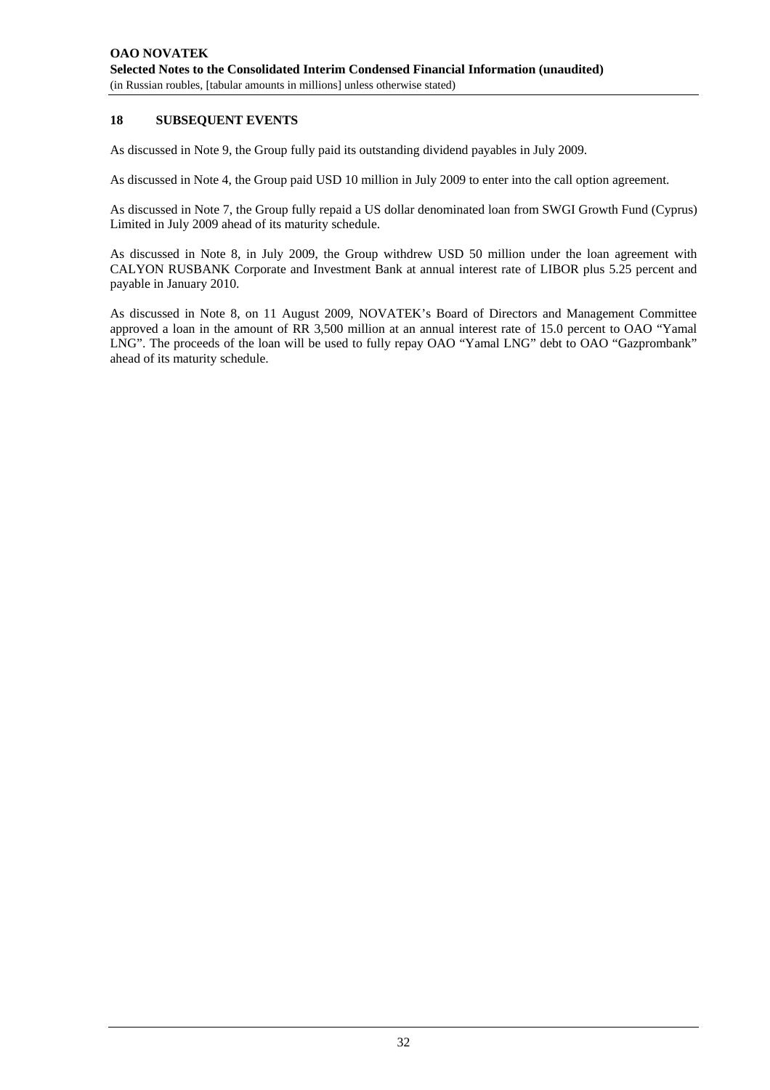# **18 SUBSEQUENT EVENTS**

As discussed in Note 9, the Group fully paid its outstanding dividend payables in July 2009.

As discussed in Note 4, the Group paid USD 10 million in July 2009 to enter into the call option agreement.

As discussed in Note 7, the Group fully repaid a US dollar denominated loan from SWGI Growth Fund (Cyprus) Limited in July 2009 ahead of its maturity schedule.

As discussed in Note 8, in July 2009, the Group withdrew USD 50 million under the loan agreement with CALYON RUSBANK Corporate and Investment Bank at annual interest rate of LIBOR plus 5.25 percent and payable in January 2010.

As discussed in Note 8, on 11 August 2009, NOVATEK's Board of Directors and Management Committee approved a loan in the amount of RR 3,500 million at an annual interest rate of 15.0 percent to OAO "Yamal LNG". The proceeds of the loan will be used to fully repay OAO "Yamal LNG" debt to OAO "Gazprombank" ahead of its maturity schedule.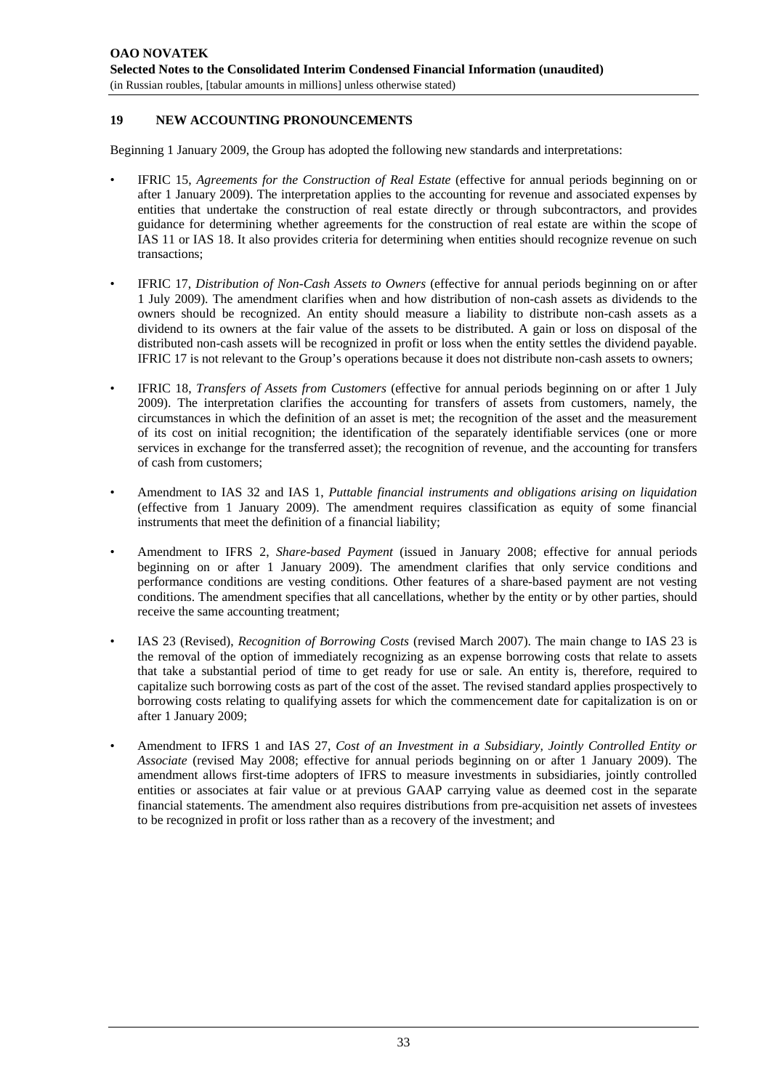#### **19 NEW ACCOUNTING PRONOUNCEMENTS**

Beginning 1 January 2009, the Group has adopted the following new standards and interpretations:

- IFRIC 15, *Agreements for the Construction of Real Estate* (effective for annual periods beginning on or after 1 January 2009). The interpretation applies to the accounting for revenue and associated expenses by entities that undertake the construction of real estate directly or through subcontractors, and provides guidance for determining whether agreements for the construction of real estate are within the scope of IAS 11 or IAS 18. It also provides criteria for determining when entities should recognize revenue on such transactions;
- IFRIC 17, *Distribution of Non-Cash Assets to Owners* (effective for annual periods beginning on or after 1 July 2009). The amendment clarifies when and how distribution of non-cash assets as dividends to the owners should be recognized. An entity should measure a liability to distribute non-cash assets as a dividend to its owners at the fair value of the assets to be distributed. A gain or loss on disposal of the distributed non-cash assets will be recognized in profit or loss when the entity settles the dividend payable. IFRIC 17 is not relevant to the Group's operations because it does not distribute non-cash assets to owners;
- IFRIC 18, *Transfers of Assets from Customers* (effective for annual periods beginning on or after 1 July 2009). The interpretation clarifies the accounting for transfers of assets from customers, namely, the circumstances in which the definition of an asset is met; the recognition of the asset and the measurement of its cost on initial recognition; the identification of the separately identifiable services (one or more services in exchange for the transferred asset); the recognition of revenue, and the accounting for transfers of cash from customers;
- Amendment to IAS 32 and IAS 1, *Puttable financial instruments and obligations arising on liquidation* (effective from 1 January 2009). The amendment requires classification as equity of some financial instruments that meet the definition of a financial liability;
- Amendment to IFRS 2, *Share-based Payment* (issued in January 2008; effective for annual periods beginning on or after 1 January 2009). The amendment clarifies that only service conditions and performance conditions are vesting conditions. Other features of a share-based payment are not vesting conditions. The amendment specifies that all cancellations, whether by the entity or by other parties, should receive the same accounting treatment;
- IAS 23 (Revised), *Recognition of Borrowing Costs* (revised March 2007). The main change to IAS 23 is the removal of the option of immediately recognizing as an expense borrowing costs that relate to assets that take a substantial period of time to get ready for use or sale. An entity is, therefore, required to capitalize such borrowing costs as part of the cost of the asset. The revised standard applies prospectively to borrowing costs relating to qualifying assets for which the commencement date for capitalization is on or after 1 January 2009;
- Amendment to IFRS 1 and IAS 27, *Cost of an Investment in a Subsidiary, Jointly Controlled Entity or Associate* (revised May 2008; effective for annual periods beginning on or after 1 January 2009). The amendment allows first-time adopters of IFRS to measure investments in subsidiaries, jointly controlled entities or associates at fair value or at previous GAAP carrying value as deemed cost in the separate financial statements. The amendment also requires distributions from pre-acquisition net assets of investees to be recognized in profit or loss rather than as a recovery of the investment; and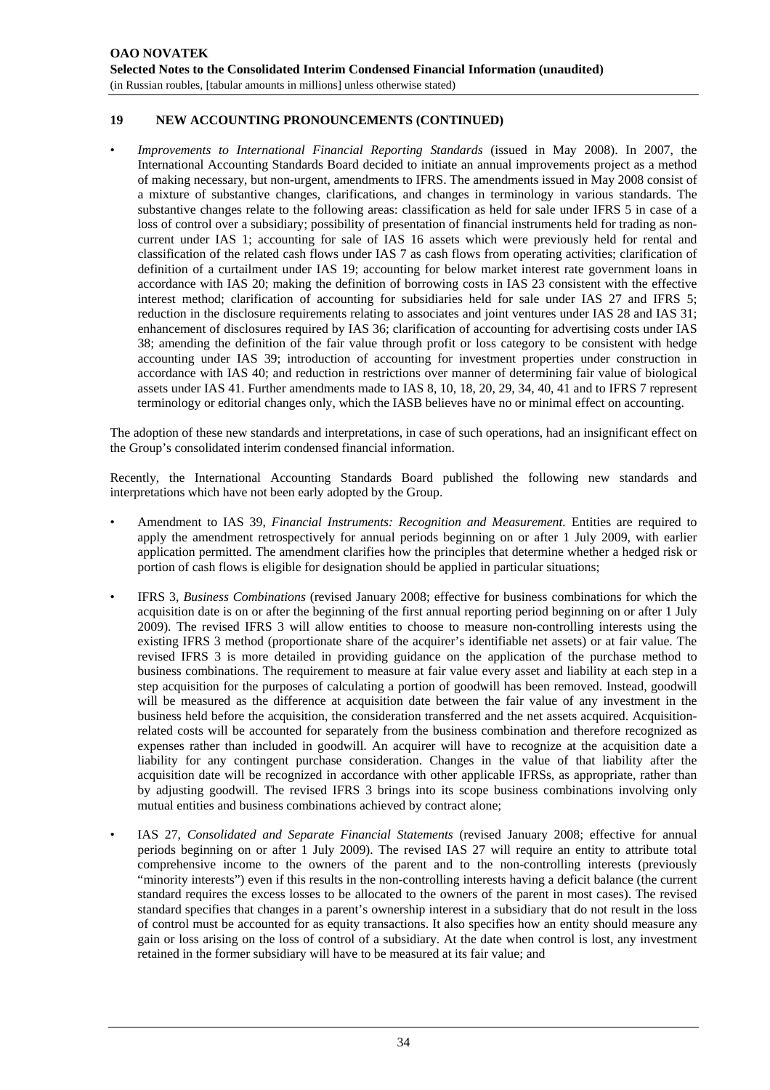# **19 NEW ACCOUNTING PRONOUNCEMENTS (CONTINUED)**

• *Improvements to International Financial Reporting Standards* (issued in May 2008). In 2007, the International Accounting Standards Board decided to initiate an annual improvements project as a method of making necessary, but non-urgent, amendments to IFRS. The amendments issued in May 2008 consist of a mixture of substantive changes, clarifications, and changes in terminology in various standards. The substantive changes relate to the following areas: classification as held for sale under IFRS 5 in case of a loss of control over a subsidiary; possibility of presentation of financial instruments held for trading as noncurrent under IAS 1; accounting for sale of IAS 16 assets which were previously held for rental and classification of the related cash flows under IAS 7 as cash flows from operating activities; clarification of definition of a curtailment under IAS 19; accounting for below market interest rate government loans in accordance with IAS 20; making the definition of borrowing costs in IAS 23 consistent with the effective interest method; clarification of accounting for subsidiaries held for sale under IAS 27 and IFRS 5; reduction in the disclosure requirements relating to associates and joint ventures under IAS 28 and IAS 31; enhancement of disclosures required by IAS 36; clarification of accounting for advertising costs under IAS 38; amending the definition of the fair value through profit or loss category to be consistent with hedge accounting under IAS 39; introduction of accounting for investment properties under construction in accordance with IAS 40; and reduction in restrictions over manner of determining fair value of biological assets under IAS 41. Further amendments made to IAS 8, 10, 18, 20, 29, 34, 40, 41 and to IFRS 7 represent terminology or editorial changes only, which the IASB believes have no or minimal effect on accounting.

The adoption of these new standards and interpretations, in case of such operations, had an insignificant effect on the Group's consolidated interim condensed financial information.

Recently, the International Accounting Standards Board published the following new standards and interpretations which have not been early adopted by the Group.

- Amendment to IAS 39, *Financial Instruments: Recognition and Measurement.* Entities are required to apply the amendment retrospectively for annual periods beginning on or after 1 July 2009, with earlier application permitted. The amendment clarifies how the principles that determine whether a hedged risk or portion of cash flows is eligible for designation should be applied in particular situations;
- IFRS 3, *Business Combinations* (revised January 2008; effective for business combinations for which the acquisition date is on or after the beginning of the first annual reporting period beginning on or after 1 July 2009). The revised IFRS 3 will allow entities to choose to measure non-controlling interests using the existing IFRS 3 method (proportionate share of the acquirer's identifiable net assets) or at fair value. The revised IFRS 3 is more detailed in providing guidance on the application of the purchase method to business combinations. The requirement to measure at fair value every asset and liability at each step in a step acquisition for the purposes of calculating a portion of goodwill has been removed. Instead, goodwill will be measured as the difference at acquisition date between the fair value of any investment in the business held before the acquisition, the consideration transferred and the net assets acquired. Acquisitionrelated costs will be accounted for separately from the business combination and therefore recognized as expenses rather than included in goodwill. An acquirer will have to recognize at the acquisition date a liability for any contingent purchase consideration. Changes in the value of that liability after the acquisition date will be recognized in accordance with other applicable IFRSs, as appropriate, rather than by adjusting goodwill. The revised IFRS 3 brings into its scope business combinations involving only mutual entities and business combinations achieved by contract alone;
- IAS 27, *Consolidated and Separate Financial Statements* (revised January 2008; effective for annual periods beginning on or after 1 July 2009). The revised IAS 27 will require an entity to attribute total comprehensive income to the owners of the parent and to the non-controlling interests (previously "minority interests") even if this results in the non-controlling interests having a deficit balance (the current standard requires the excess losses to be allocated to the owners of the parent in most cases). The revised standard specifies that changes in a parent's ownership interest in a subsidiary that do not result in the loss of control must be accounted for as equity transactions. It also specifies how an entity should measure any gain or loss arising on the loss of control of a subsidiary. At the date when control is lost, any investment retained in the former subsidiary will have to be measured at its fair value; and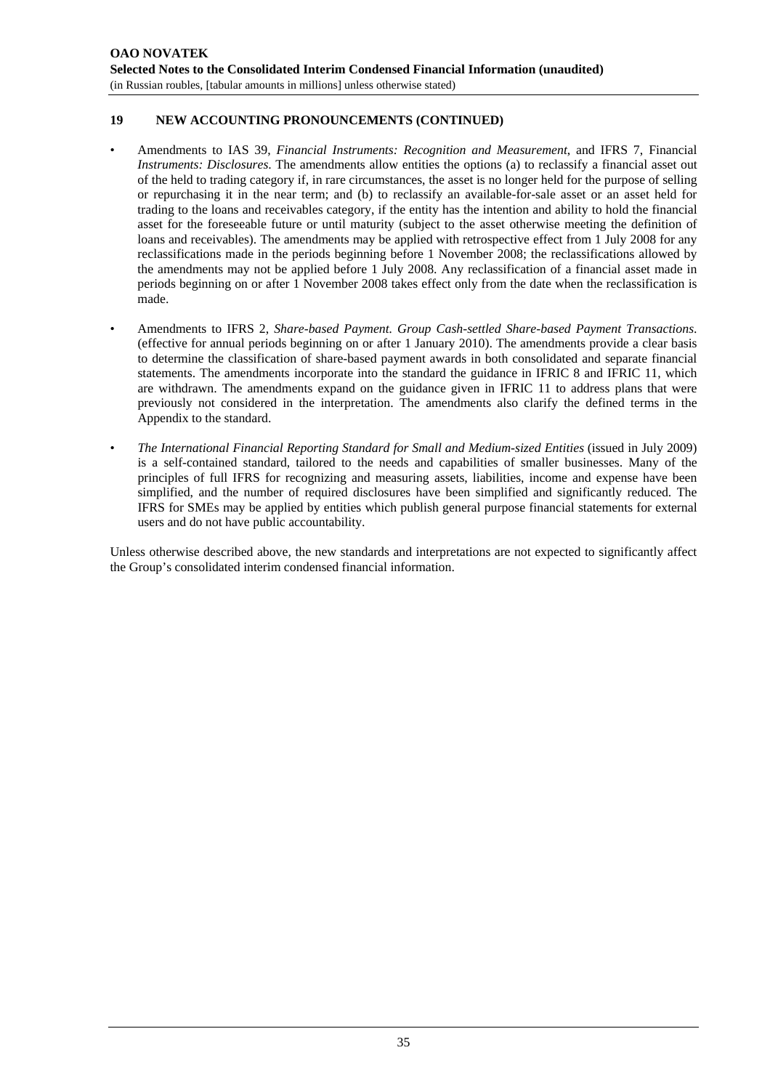# **19 NEW ACCOUNTING PRONOUNCEMENTS (CONTINUED)**

- Amendments to IAS 39, *Financial Instruments: Recognition and Measurement*, and IFRS 7, Financial *Instruments: Disclosures*. The amendments allow entities the options (a) to reclassify a financial asset out of the held to trading category if, in rare circumstances, the asset is no longer held for the purpose of selling or repurchasing it in the near term; and (b) to reclassify an available-for-sale asset or an asset held for trading to the loans and receivables category, if the entity has the intention and ability to hold the financial asset for the foreseeable future or until maturity (subject to the asset otherwise meeting the definition of loans and receivables). The amendments may be applied with retrospective effect from 1 July 2008 for any reclassifications made in the periods beginning before 1 November 2008; the reclassifications allowed by the amendments may not be applied before 1 July 2008. Any reclassification of a financial asset made in periods beginning on or after 1 November 2008 takes effect only from the date when the reclassification is made.
- Amendments to IFRS 2, *Share-based Payment. Group Cash-settled Share-based Payment Transactions*. (effective for annual periods beginning on or after 1 January 2010). The amendments provide a clear basis to determine the classification of share-based payment awards in both consolidated and separate financial statements. The amendments incorporate into the standard the guidance in IFRIC 8 and IFRIC 11, which are withdrawn. The amendments expand on the guidance given in IFRIC 11 to address plans that were previously not considered in the interpretation. The amendments also clarify the defined terms in the Appendix to the standard.
- *The International Financial Reporting Standard for Small and Medium-sized Entities* (issued in July 2009) is a self-contained standard, tailored to the needs and capabilities of smaller businesses. Many of the principles of full IFRS for recognizing and measuring assets, liabilities, income and expense have been simplified, and the number of required disclosures have been simplified and significantly reduced. The IFRS for SMEs may be applied by entities which publish general purpose financial statements for external users and do not have public accountability.

Unless otherwise described above, the new standards and interpretations are not expected to significantly affect the Group's consolidated interim condensed financial information.